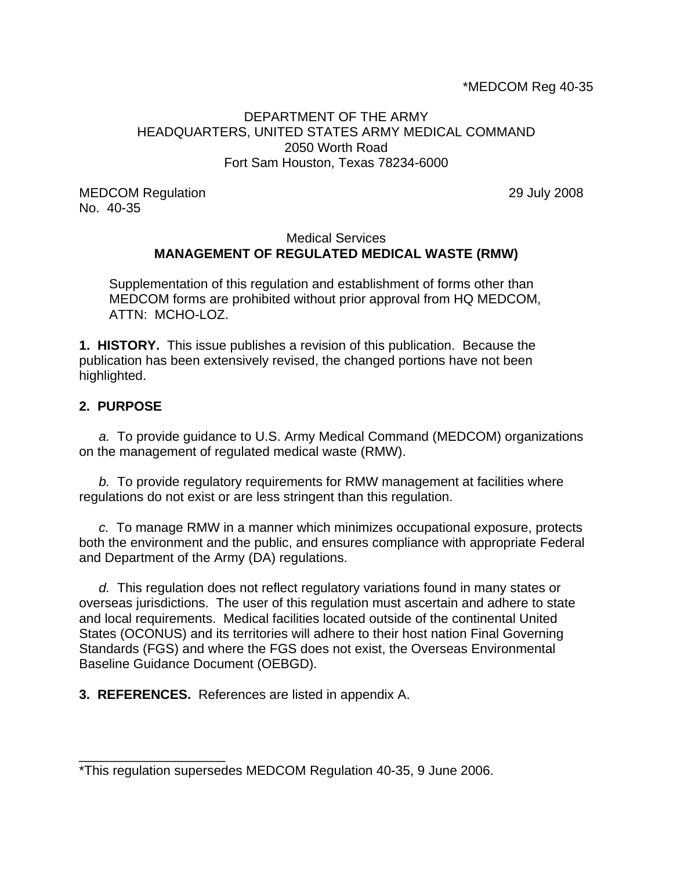### DEPARTMENT OF THE ARMY HEADQUARTERS, UNITED STATES ARMY MEDICAL COMMAND 2050 Worth Road Fort Sam Houston, Texas 78234-6000

MEDCOM Regulation 29 July 2008 No. 40-35

### Medical Services **MANAGEMENT OF REGULATED MEDICAL WASTE (RMW)**

Supplementation of this regulation and establishment of forms other than MEDCOM forms are prohibited without prior approval from HQ MEDCOM, ATTN: MCHO-LOZ.

**1. HISTORY.** This issue publishes a revision of this publication. Because the publication has been extensively revised, the changed portions have not been highlighted.

### **2. PURPOSE**

\_\_\_\_\_\_\_\_\_\_\_\_\_\_\_\_\_\_\_\_

*a.* To provide guidance to U.S. Army Medical Command (MEDCOM) organizations on the management of regulated medical waste (RMW).

*b.* To provide regulatory requirements for RMW management at facilities where regulations do not exist or are less stringent than this regulation.

*c.* To manage RMW in a manner which minimizes occupational exposure, protects both the environment and the public, and ensures compliance with appropriate Federal and Department of the Army (DA) regulations.

*d.* This regulation does not reflect regulatory variations found in many states or overseas jurisdictions. The user of this regulation must ascertain and adhere to state and local requirements. Medical facilities located outside of the continental United States (OCONUS) and its territories will adhere to their host nation Final Governing Standards (FGS) and where the FGS does not exist, the Overseas Environmental Baseline Guidance Document (OEBGD).

**3. REFERENCES.** References are listed in appendix A.

<sup>\*</sup>This regulation supersedes MEDCOM Regulation 40-35, 9 June 2006.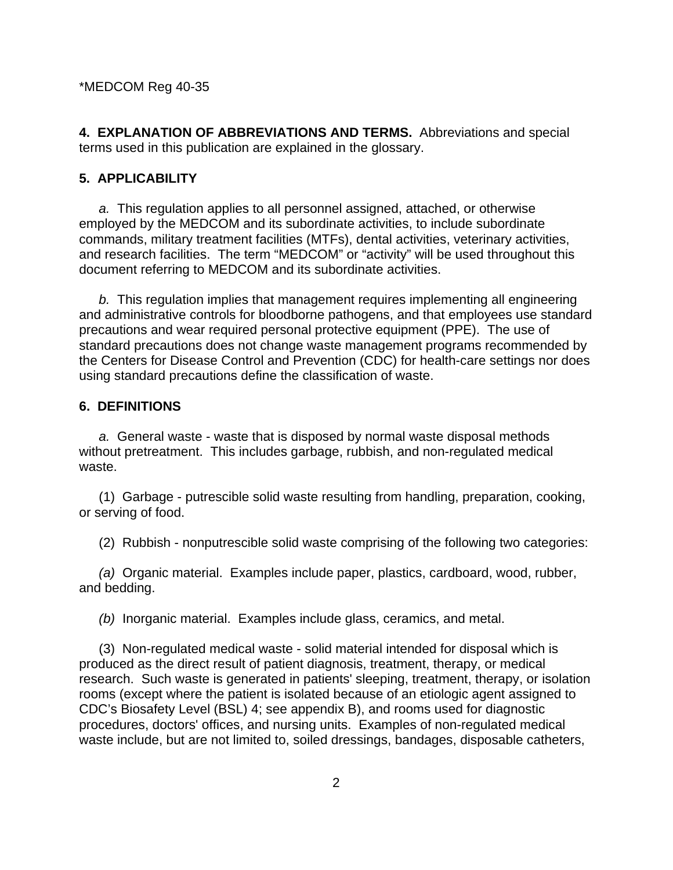**4. EXPLANATION OF ABBREVIATIONS AND TERMS.** Abbreviations and special terms used in this publication are explained in the glossary.

#### **5. APPLICABILITY**

*a.* This regulation applies to all personnel assigned, attached, or otherwise employed by the MEDCOM and its subordinate activities, to include subordinate commands, military treatment facilities (MTFs), dental activities, veterinary activities, and research facilities. The term "MEDCOM" or "activity" will be used throughout this document referring to MEDCOM and its subordinate activities.

*b.* This regulation implies that management requires implementing all engineering and administrative controls for bloodborne pathogens, and that employees use standard precautions and wear required personal protective equipment (PPE). The use of standard precautions does not change waste management programs recommended by the Centers for Disease Control and Prevention (CDC) for health-care settings nor does using standard precautions define the classification of waste.

### **6. DEFINITIONS**

*a.* General waste - waste that is disposed by normal waste disposal methods without pretreatment. This includes garbage, rubbish, and non-regulated medical waste.

 (1) Garbage - putrescible solid waste resulting from handling, preparation, cooking, or serving of food.

(2) Rubbish - nonputrescible solid waste comprising of the following two categories:

*(a)* Organic material. Examples include paper, plastics, cardboard, wood, rubber, and bedding.

*(b)* Inorganic material. Examples include glass, ceramics, and metal.

 (3) Non-regulated medical waste - solid material intended for disposal which is produced as the direct result of patient diagnosis, treatment, therapy, or medical research. Such waste is generated in patients' sleeping, treatment, therapy, or isolation rooms (except where the patient is isolated because of an etiologic agent assigned to CDC's Biosafety Level (BSL) 4; see appendix B), and rooms used for diagnostic procedures, doctors' offices, and nursing units. Examples of non-regulated medical waste include, but are not limited to, soiled dressings, bandages, disposable catheters,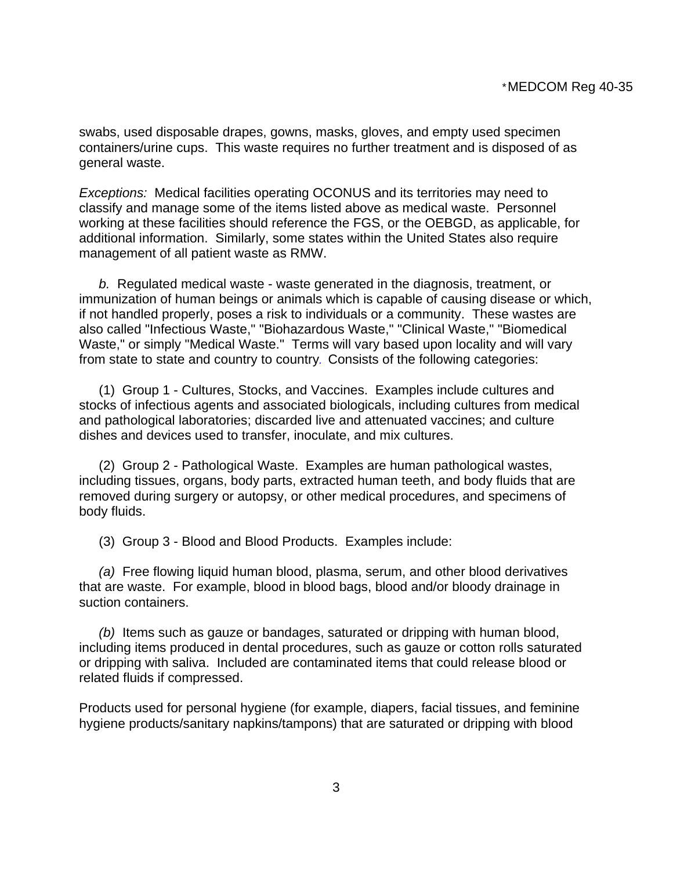swabs, used disposable drapes, gowns, masks, gloves, and empty used specimen containers/urine cups. This waste requires no further treatment and is disposed of as general waste.

*Exceptions:* Medical facilities operating OCONUS and its territories may need to classify and manage some of the items listed above as medical waste. Personnel working at these facilities should reference the FGS, or the OEBGD, as applicable, for additional information. Similarly, some states within the United States also require management of all patient waste as RMW.

*b.* Regulated medical waste - waste generated in the diagnosis, treatment, or immunization of human beings or animals which is capable of causing disease or which, if not handled properly, poses a risk to individuals or a community. These wastes are also called "Infectious Waste," "Biohazardous Waste," "Clinical Waste," "Biomedical Waste," or simply "Medical Waste." Terms will vary based upon locality and will vary from state to state and country to country*.* Consists of the following categories:

 (1) Group 1 - Cultures, Stocks, and Vaccines. Examples include cultures and stocks of infectious agents and associated biologicals, including cultures from medical and pathological laboratories; discarded live and attenuated vaccines; and culture dishes and devices used to transfer, inoculate, and mix cultures.

 (2) Group 2 - Pathological Waste. Examples are human pathological wastes, including tissues, organs, body parts, extracted human teeth, and body fluids that are removed during surgery or autopsy, or other medical procedures, and specimens of body fluids.

(3) Group 3 - Blood and Blood Products. Examples include:

*(a)* Free flowing liquid human blood, plasma, serum, and other blood derivatives that are waste. For example, blood in blood bags, blood and/or bloody drainage in suction containers.

*(b)* Items such as gauze or bandages, saturated or dripping with human blood, including items produced in dental procedures, such as gauze or cotton rolls saturated or dripping with saliva. Included are contaminated items that could release blood or related fluids if compressed.

Products used for personal hygiene (for example, diapers, facial tissues, and feminine hygiene products/sanitary napkins/tampons) that are saturated or dripping with blood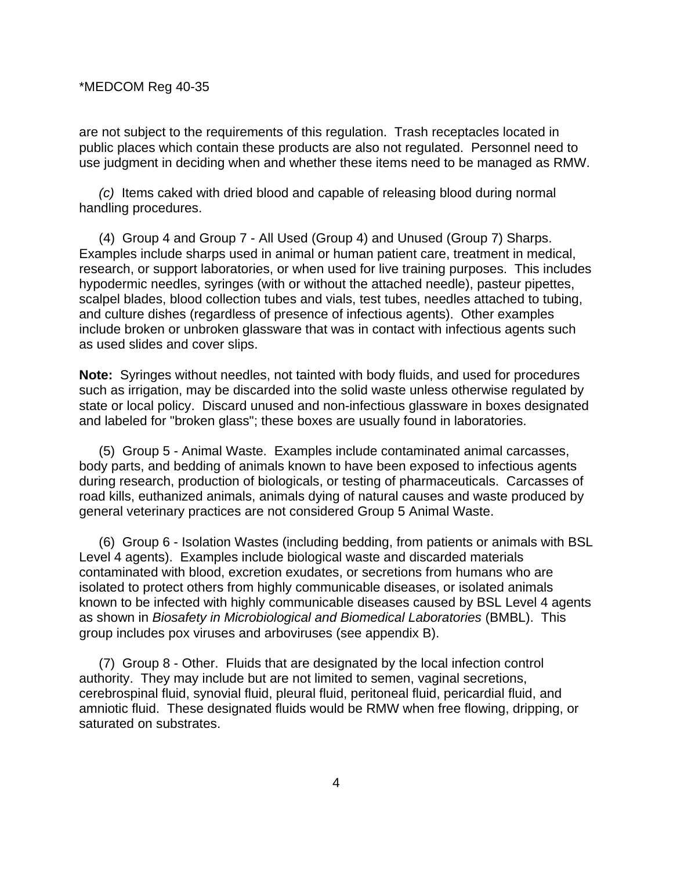are not subject to the requirements of this regulation. Trash receptacles located in public places which contain these products are also not regulated. Personnel need to use judgment in deciding when and whether these items need to be managed as RMW.

*(c)* Items caked with dried blood and capable of releasing blood during normal handling procedures.

 (4) Group 4 and Group 7 - All Used (Group 4) and Unused (Group 7) Sharps. Examples include sharps used in animal or human patient care, treatment in medical, research, or support laboratories, or when used for live training purposes. This includes hypodermic needles, syringes (with or without the attached needle), pasteur pipettes, scalpel blades, blood collection tubes and vials, test tubes, needles attached to tubing, and culture dishes (regardless of presence of infectious agents). Other examples include broken or unbroken glassware that was in contact with infectious agents such as used slides and cover slips.

**Note:** Syringes without needles, not tainted with body fluids, and used for procedures such as irrigation, may be discarded into the solid waste unless otherwise regulated by state or local policy. Discard unused and non-infectious glassware in boxes designated and labeled for "broken glass"; these boxes are usually found in laboratories.

 (5) Group 5 - Animal Waste. Examples include contaminated animal carcasses, body parts, and bedding of animals known to have been exposed to infectious agents during research, production of biologicals, or testing of pharmaceuticals. Carcasses of road kills, euthanized animals, animals dying of natural causes and waste produced by general veterinary practices are not considered Group 5 Animal Waste.

 (6) Group 6 - Isolation Wastes (including bedding, from patients or animals with BSL Level 4 agents). Examples include biological waste and discarded materials contaminated with blood, excretion exudates, or secretions from humans who are isolated to protect others from highly communicable diseases, or isolated animals known to be infected with highly communicable diseases caused by BSL Level 4 agents as shown in *Biosafety in Microbiological and Biomedical Laboratories* (BMBL). This group includes pox viruses and arboviruses (see appendix B).

 (7) Group 8 - Other. Fluids that are designated by the local infection control authority. They may include but are not limited to semen, vaginal secretions, cerebrospinal fluid, synovial fluid, pleural fluid, peritoneal fluid, pericardial fluid, and amniotic fluid. These designated fluids would be RMW when free flowing, dripping, or saturated on substrates.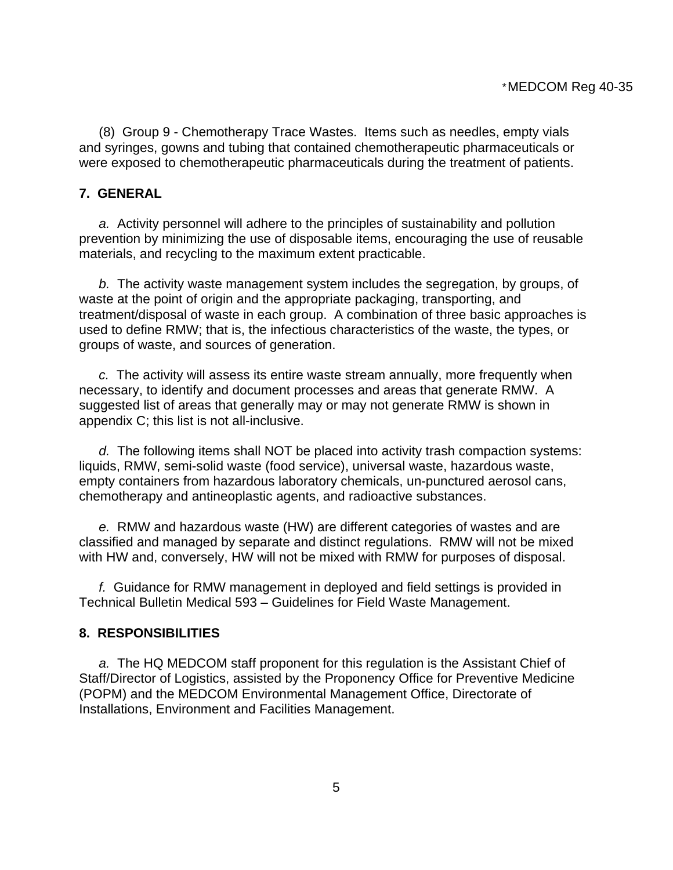(8) Group 9 - Chemotherapy Trace Wastes. Items such as needles, empty vials and syringes, gowns and tubing that contained chemotherapeutic pharmaceuticals or were exposed to chemotherapeutic pharmaceuticals during the treatment of patients.

### **7. GENERAL**

*a.* Activity personnel will adhere to the principles of sustainability and pollution prevention by minimizing the use of disposable items, encouraging the use of reusable materials, and recycling to the maximum extent practicable.

*b.* The activity waste management system includes the segregation, by groups, of waste at the point of origin and the appropriate packaging, transporting, and treatment/disposal of waste in each group. A combination of three basic approaches is used to define RMW; that is, the infectious characteristics of the waste, the types, or groups of waste, and sources of generation.

*c.* The activity will assess its entire waste stream annually, more frequently when necessary, to identify and document processes and areas that generate RMW. A suggested list of areas that generally may or may not generate RMW is shown in appendix C; this list is not all-inclusive.

*d.* The following items shall NOT be placed into activity trash compaction systems: liquids, RMW, semi-solid waste (food service), universal waste, hazardous waste, empty containers from hazardous laboratory chemicals, un-punctured aerosol cans, chemotherapy and antineoplastic agents, and radioactive substances.

*e.* RMW and hazardous waste (HW) are different categories of wastes and are classified and managed by separate and distinct regulations. RMW will not be mixed with HW and, conversely, HW will not be mixed with RMW for purposes of disposal.

*f.* Guidance for RMW management in deployed and field settings is provided in Technical Bulletin Medical 593 – Guidelines for Field Waste Management.

#### **8. RESPONSIBILITIES**

*a.* The HQ MEDCOM staff proponent for this regulation is the Assistant Chief of Staff/Director of Logistics, assisted by the Proponency Office for Preventive Medicine (POPM) and the MEDCOM Environmental Management Office, Directorate of Installations, Environment and Facilities Management.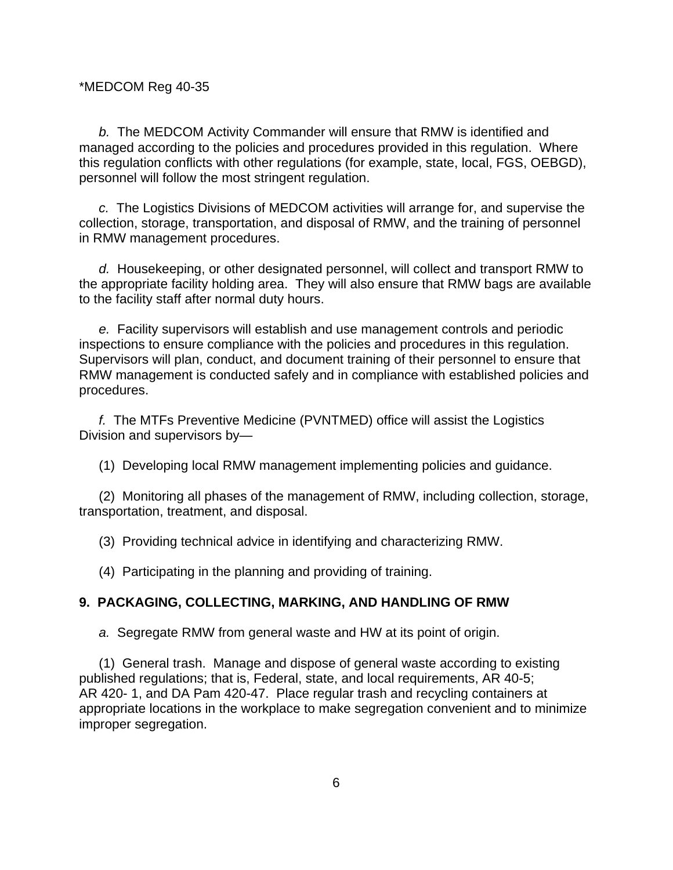*b.* The MEDCOM Activity Commander will ensure that RMW is identified and managed according to the policies and procedures provided in this regulation. Where this regulation conflicts with other regulations (for example, state, local, FGS, OEBGD), personnel will follow the most stringent regulation.

*c.* The Logistics Divisions of MEDCOM activities will arrange for, and supervise the collection, storage, transportation, and disposal of RMW, and the training of personnel in RMW management procedures.

*d.* Housekeeping, or other designated personnel, will collect and transport RMW to the appropriate facility holding area. They will also ensure that RMW bags are available to the facility staff after normal duty hours.

*e.* Facility supervisors will establish and use management controls and periodic inspections to ensure compliance with the policies and procedures in this regulation. Supervisors will plan, conduct, and document training of their personnel to ensure that RMW management is conducted safely and in compliance with established policies and procedures.

*f.* The MTFs Preventive Medicine (PVNTMED) office will assist the Logistics Division and supervisors by—

(1) Developing local RMW management implementing policies and guidance.

 (2) Monitoring all phases of the management of RMW, including collection, storage, transportation, treatment, and disposal.

(3) Providing technical advice in identifying and characterizing RMW.

(4) Participating in the planning and providing of training.

### **9. PACKAGING, COLLECTING, MARKING, AND HANDLING OF RMW**

*a.* Segregate RMW from general waste and HW at its point of origin.

 (1) General trash. Manage and dispose of general waste according to existing published regulations; that is, Federal, state, and local requirements, AR 40-5; AR 420- 1, and DA Pam 420-47. Place regular trash and recycling containers at appropriate locations in the workplace to make segregation convenient and to minimize improper segregation.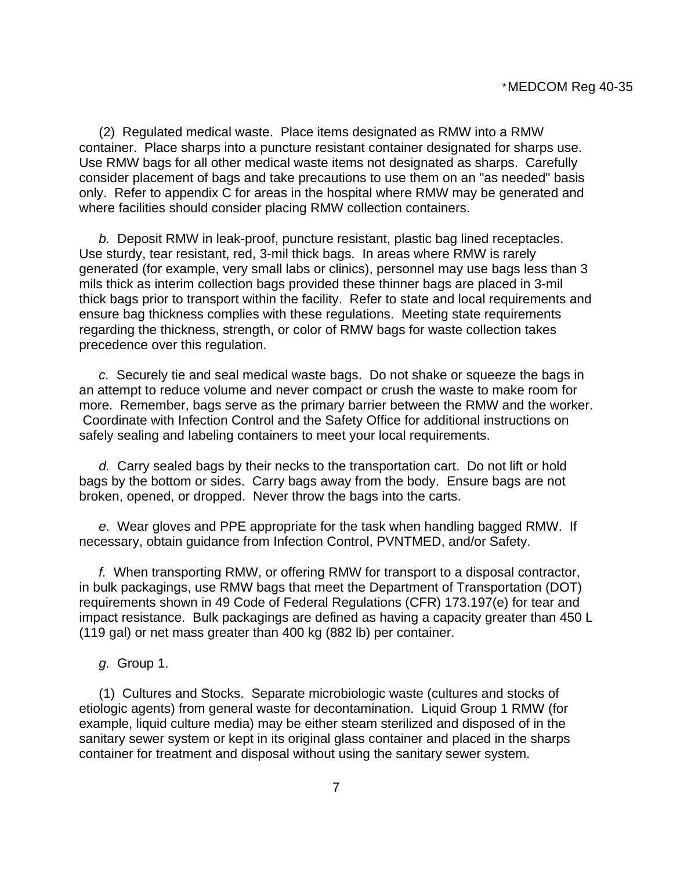(2) Regulated medical waste. Place items designated as RMW into a RMW container. Place sharps into a puncture resistant container designated for sharps use. Use RMW bags for all other medical waste items not designated as sharps. Carefully consider placement of bags and take precautions to use them on an "as needed" basis only. Refer to appendix C for areas in the hospital where RMW may be generated and where facilities should consider placing RMW collection containers.

 *b.* Deposit RMW in leak-proof, puncture resistant, plastic bag lined receptacles. Use sturdy, tear resistant, red, 3-mil thick bags. In areas where RMW is rarely generated (for example, very small labs or clinics), personnel may use bags less than 3 mils thick as interim collection bags provided these thinner bags are placed in 3-mil thick bags prior to transport within the facility. Refer to state and local requirements and ensure bag thickness complies with these regulations. Meeting state requirements regarding the thickness, strength, or color of RMW bags for waste collection takes precedence over this regulation.

 *c.* Securely tie and seal medical waste bags. Do not shake or squeeze the bags in an attempt to reduce volume and never compact or crush the waste to make room for more. Remember, bags serve as the primary barrier between the RMW and the worker. Coordinate with Infection Control and the Safety Office for additional instructions on safely sealing and labeling containers to meet your local requirements.

 *d.* Carry sealed bags by their necks to the transportation cart. Do not lift or hold bags by the bottom or sides. Carry bags away from the body. Ensure bags are not broken, opened, or dropped. Never throw the bags into the carts.

 *e.* Wear gloves and PPE appropriate for the task when handling bagged RMW. If necessary, obtain guidance from Infection Control, PVNTMED, and/or Safety.

 *f.* When transporting RMW, or offering RMW for transport to a disposal contractor, in bulk packagings, use RMW bags that meet the Department of Transportation (DOT) requirements shown in 49 Code of Federal Regulations (CFR) 173.197(e) for tear and impact resistance. Bulk packagings are defined as having a capacity greater than 450 L (119 gal) or net mass greater than 400 kg (882 lb) per container.

 *g.* Group 1.

 (1) Cultures and Stocks. Separate microbiologic waste (cultures and stocks of etiologic agents) from general waste for decontamination. Liquid Group 1 RMW (for example, liquid culture media) may be either steam sterilized and disposed of in the sanitary sewer system or kept in its original glass container and placed in the sharps container for treatment and disposal without using the sanitary sewer system.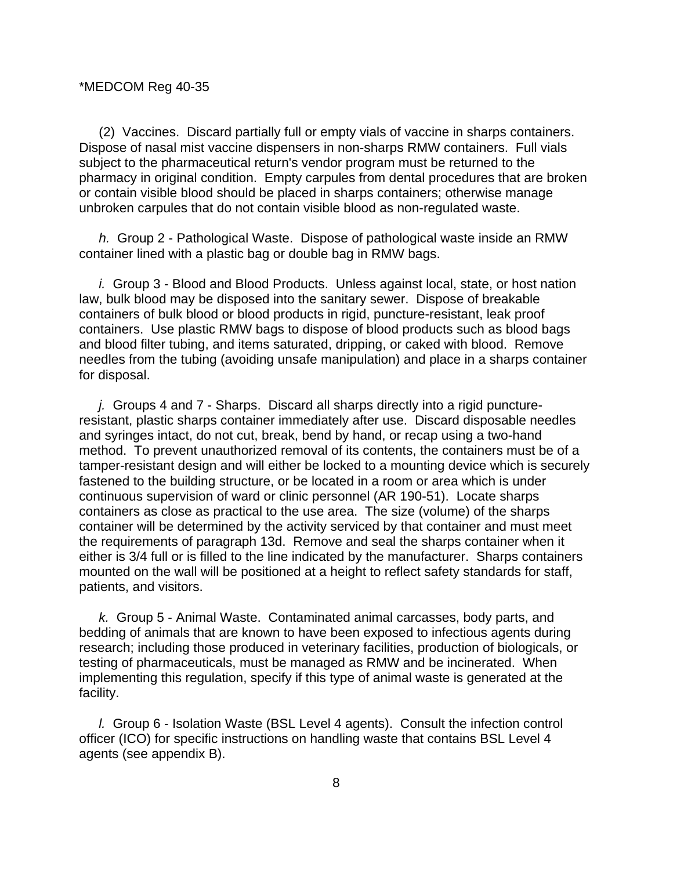(2) Vaccines. Discard partially full or empty vials of vaccine in sharps containers. Dispose of nasal mist vaccine dispensers in non-sharps RMW containers. Full vials subject to the pharmaceutical return's vendor program must be returned to the pharmacy in original condition. Empty carpules from dental procedures that are broken or contain visible blood should be placed in sharps containers; otherwise manage unbroken carpules that do not contain visible blood as non-regulated waste.

 *h.* Group 2 - Pathological Waste. Dispose of pathological waste inside an RMW container lined with a plastic bag or double bag in RMW bags.

 *i.* Group 3 - Blood and Blood Products. Unless against local, state, or host nation law, bulk blood may be disposed into the sanitary sewer. Dispose of breakable containers of bulk blood or blood products in rigid, puncture-resistant, leak proof containers. Use plastic RMW bags to dispose of blood products such as blood bags and blood filter tubing, and items saturated, dripping, or caked with blood. Remove needles from the tubing (avoiding unsafe manipulation) and place in a sharps container for disposal.

 *j.* Groups 4 and 7 - Sharps. Discard all sharps directly into a rigid punctureresistant, plastic sharps container immediately after use. Discard disposable needles and syringes intact, do not cut, break, bend by hand, or recap using a two-hand method. To prevent unauthorized removal of its contents, the containers must be of a tamper-resistant design and will either be locked to a mounting device which is securely fastened to the building structure, or be located in a room or area which is under continuous supervision of ward or clinic personnel (AR 190-51). Locate sharps containers as close as practical to the use area. The size (volume) of the sharps container will be determined by the activity serviced by that container and must meet the requirements of paragraph 13d. Remove and seal the sharps container when it either is 3/4 full or is filled to the line indicated by the manufacturer. Sharps containers mounted on the wall will be positioned at a height to reflect safety standards for staff, patients, and visitors.

 *k.* Group 5 - Animal Waste. Contaminated animal carcasses, body parts, and bedding of animals that are known to have been exposed to infectious agents during research; including those produced in veterinary facilities, production of biologicals, or testing of pharmaceuticals, must be managed as RMW and be incinerated. When implementing this regulation, specify if this type of animal waste is generated at the facility.

 *l.* Group 6 - Isolation Waste (BSL Level 4 agents). Consult the infection control officer (ICO) for specific instructions on handling waste that contains BSL Level 4 agents (see appendix B).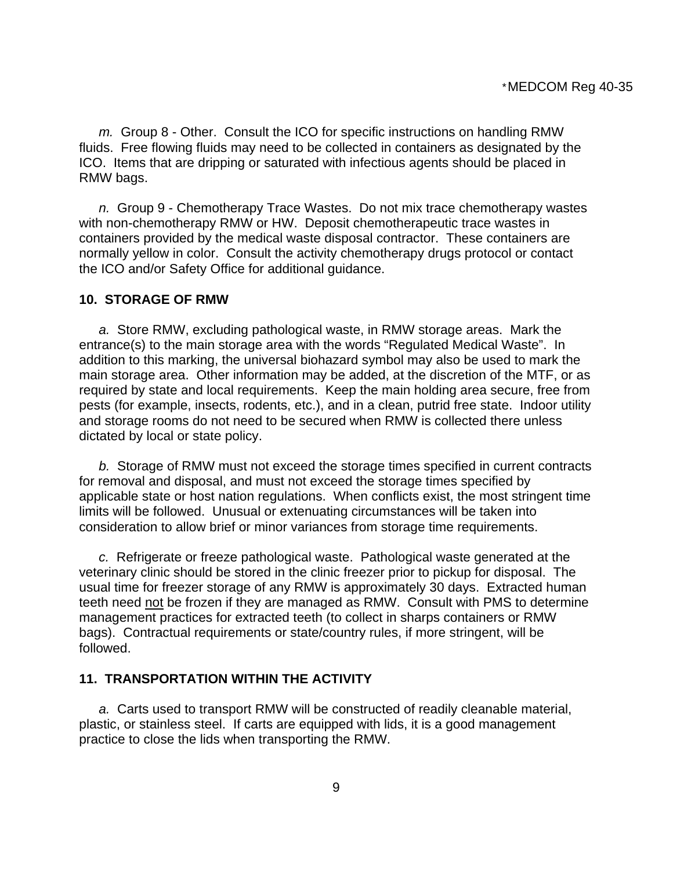*m.* Group 8 - Other. Consult the ICO for specific instructions on handling RMW fluids. Free flowing fluids may need to be collected in containers as designated by the ICO. Items that are dripping or saturated with infectious agents should be placed in RMW bags.

 *n.* Group 9 - Chemotherapy Trace Wastes. Do not mix trace chemotherapy wastes with non-chemotherapy RMW or HW. Deposit chemotherapeutic trace wastes in containers provided by the medical waste disposal contractor. These containers are normally yellow in color. Consult the activity chemotherapy drugs protocol or contact the ICO and/or Safety Office for additional guidance.

#### **10. STORAGE OF RMW**

 *a.* Store RMW, excluding pathological waste, in RMW storage areas. Mark the entrance(s) to the main storage area with the words "Regulated Medical Waste". In addition to this marking, the universal biohazard symbol may also be used to mark the main storage area. Other information may be added, at the discretion of the MTF, or as required by state and local requirements. Keep the main holding area secure, free from pests (for example, insects, rodents, etc.), and in a clean, putrid free state. Indoor utility and storage rooms do not need to be secured when RMW is collected there unless dictated by local or state policy.

 *b.* Storage of RMW must not exceed the storage times specified in current contracts for removal and disposal, and must not exceed the storage times specified by applicable state or host nation regulations. When conflicts exist, the most stringent time limits will be followed. Unusual or extenuating circumstances will be taken into consideration to allow brief or minor variances from storage time requirements.

 *c.* Refrigerate or freeze pathological waste. Pathological waste generated at the veterinary clinic should be stored in the clinic freezer prior to pickup for disposal. The usual time for freezer storage of any RMW is approximately 30 days. Extracted human teeth need not be frozen if they are managed as RMW. Consult with PMS to determine management practices for extracted teeth (to collect in sharps containers or RMW bags). Contractual requirements or state/country rules, if more stringent, will be followed.

### **11. TRANSPORTATION WITHIN THE ACTIVITY**

 *a.* Carts used to transport RMW will be constructed of readily cleanable material, plastic, or stainless steel. If carts are equipped with lids, it is a good management practice to close the lids when transporting the RMW.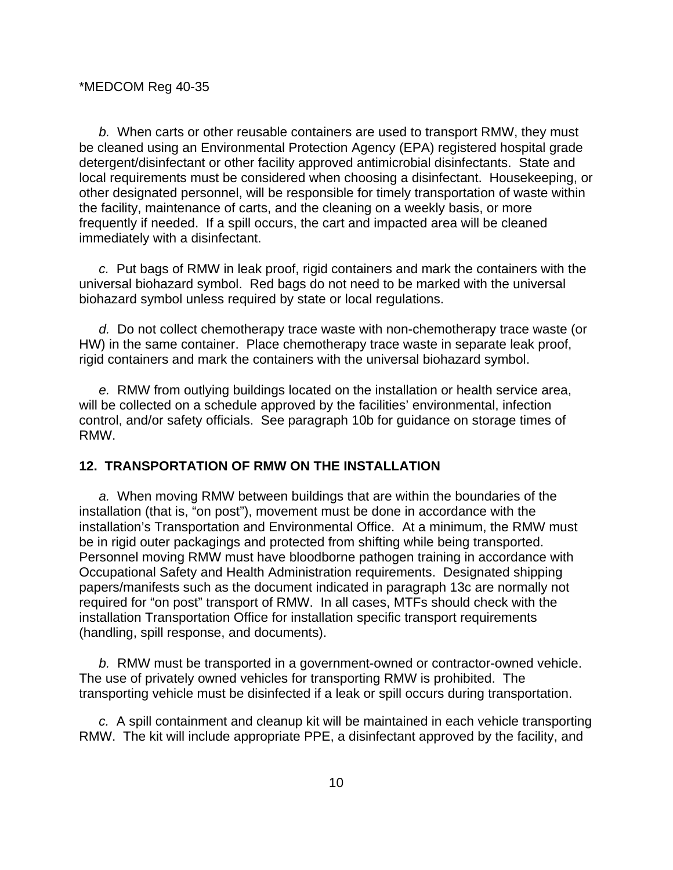*b.* When carts or other reusable containers are used to transport RMW, they must be cleaned using an Environmental Protection Agency (EPA) registered hospital grade detergent/disinfectant or other facility approved antimicrobial disinfectants. State and local requirements must be considered when choosing a disinfectant. Housekeeping, or other designated personnel, will be responsible for timely transportation of waste within the facility, maintenance of carts, and the cleaning on a weekly basis, or more frequently if needed. If a spill occurs, the cart and impacted area will be cleaned immediately with a disinfectant.

 *c.* Put bags of RMW in leak proof, rigid containers and mark the containers with the universal biohazard symbol. Red bags do not need to be marked with the universal biohazard symbol unless required by state or local regulations.

 *d.* Do not collect chemotherapy trace waste with non-chemotherapy trace waste (or HW) in the same container. Place chemotherapy trace waste in separate leak proof, rigid containers and mark the containers with the universal biohazard symbol.

 *e.* RMW from outlying buildings located on the installation or health service area, will be collected on a schedule approved by the facilities' environmental, infection control, and/or safety officials. See paragraph 10b for guidance on storage times of RMW.

### **12. TRANSPORTATION OF RMW ON THE INSTALLATION**

 *a.* When moving RMW between buildings that are within the boundaries of the installation (that is, "on post"), movement must be done in accordance with the installation's Transportation and Environmental Office. At a minimum, the RMW must be in rigid outer packagings and protected from shifting while being transported. Personnel moving RMW must have bloodborne pathogen training in accordance with Occupational Safety and Health Administration requirements. Designated shipping papers/manifests such as the document indicated in paragraph 13c are normally not required for "on post" transport of RMW. In all cases, MTFs should check with the installation Transportation Office for installation specific transport requirements (handling, spill response, and documents).

 *b.* RMW must be transported in a government-owned or contractor-owned vehicle. The use of privately owned vehicles for transporting RMW is prohibited. The transporting vehicle must be disinfected if a leak or spill occurs during transportation.

 *c.* A spill containment and cleanup kit will be maintained in each vehicle transporting RMW. The kit will include appropriate PPE, a disinfectant approved by the facility, and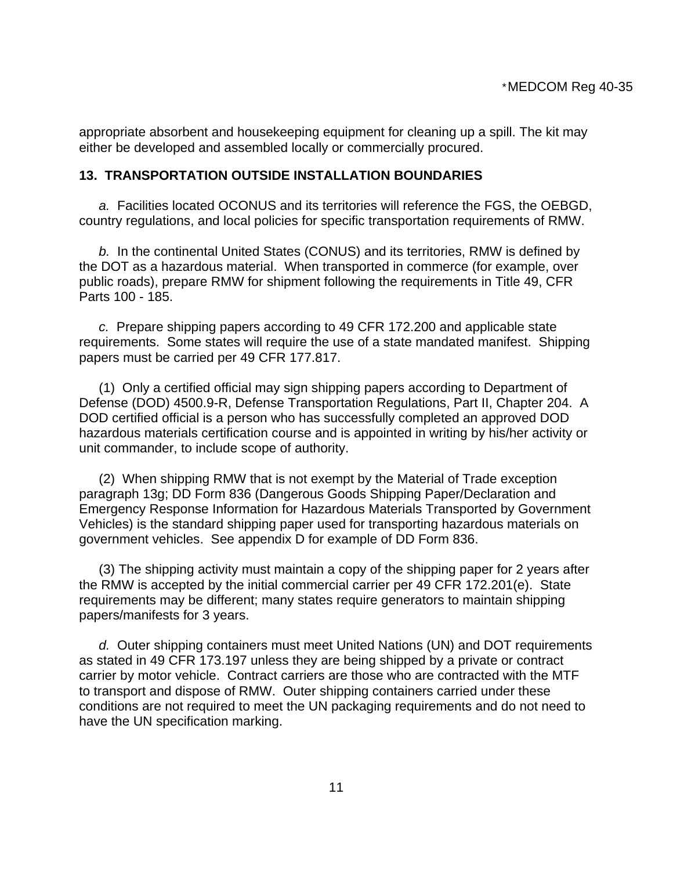appropriate absorbent and housekeeping equipment for cleaning up a spill. The kit may either be developed and assembled locally or commercially procured.

#### **13. TRANSPORTATION OUTSIDE INSTALLATION BOUNDARIES**

 *a.* Facilities located OCONUS and its territories will reference the FGS, the OEBGD, country regulations, and local policies for specific transportation requirements of RMW.

 *b.* In the continental United States (CONUS) and its territories, RMW is defined by the DOT as a hazardous material. When transported in commerce (for example, over public roads), prepare RMW for shipment following the requirements in Title 49, CFR Parts 100 - 185.

 *c.* Prepare shipping papers according to 49 CFR 172.200 and applicable state requirements. Some states will require the use of a state mandated manifest. Shipping papers must be carried per 49 CFR 177.817.

 (1) Only a certified official may sign shipping papers according to Department of Defense (DOD) 4500.9-R, Defense Transportation Regulations, Part II, Chapter 204. A DOD certified official is a person who has successfully completed an approved DOD hazardous materials certification course and is appointed in writing by his/her activity or unit commander, to include scope of authority.

 (2) When shipping RMW that is not exempt by the Material of Trade exception paragraph 13g; DD Form 836 (Dangerous Goods Shipping Paper/Declaration and Emergency Response Information for Hazardous Materials Transported by Government Vehicles) is the standard shipping paper used for transporting hazardous materials on government vehicles. See appendix D for example of DD Form 836.

 (3) The shipping activity must maintain a copy of the shipping paper for 2 years after the RMW is accepted by the initial commercial carrier per 49 CFR 172.201(e). State requirements may be different; many states require generators to maintain shipping papers/manifests for 3 years.

 *d.* Outer shipping containers must meet United Nations (UN) and DOT requirements as stated in 49 CFR 173.197 unless they are being shipped by a private or contract carrier by motor vehicle. Contract carriers are those who are contracted with the MTF to transport and dispose of RMW. Outer shipping containers carried under these conditions are not required to meet the UN packaging requirements and do not need to have the UN specification marking.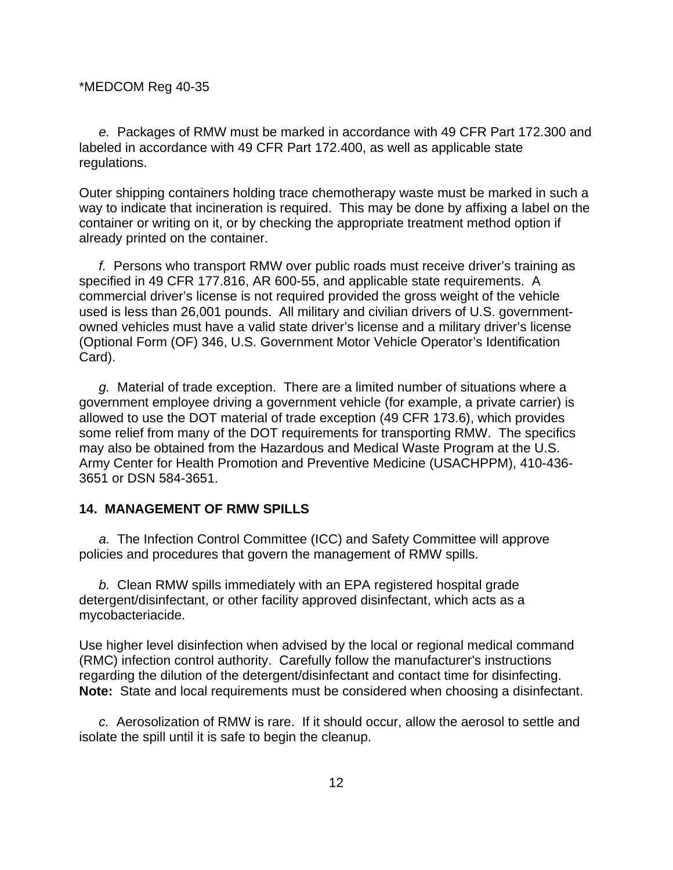*e.* Packages of RMW must be marked in accordance with 49 CFR Part 172.300 and labeled in accordance with 49 CFR Part 172.400, as well as applicable state regulations.

Outer shipping containers holding trace chemotherapy waste must be marked in such a way to indicate that incineration is required. This may be done by affixing a label on the container or writing on it, or by checking the appropriate treatment method option if already printed on the container.

 *f.* Persons who transport RMW over public roads must receive driver's training as specified in 49 CFR 177.816, AR 600-55, and applicable state requirements. A commercial driver's license is not required provided the gross weight of the vehicle used is less than 26,001 pounds. All military and civilian drivers of U.S. governmentowned vehicles must have a valid state driver's license and a military driver's license (Optional Form (OF) 346, U.S. Government Motor Vehicle Operator's Identification Card).

 *g.* Material of trade exception. There are a limited number of situations where a government employee driving a government vehicle (for example, a private carrier) is allowed to use the DOT material of trade exception (49 CFR 173.6), which provides some relief from many of the DOT requirements for transporting RMW. The specifics may also be obtained from the Hazardous and Medical Waste Program at the U.S. Army Center for Health Promotion and Preventive Medicine (USACHPPM), 410-436- 3651 or DSN 584-3651.

### **14. MANAGEMENT OF RMW SPILLS**

 *a.* The Infection Control Committee (ICC) and Safety Committee will approve policies and procedures that govern the management of RMW spills.

 *b.* Clean RMW spills immediately with an EPA registered hospital grade detergent/disinfectant, or other facility approved disinfectant, which acts as a mycobacteriacide.

Use higher level disinfection when advised by the local or regional medical command (RMC) infection control authority. Carefully follow the manufacturer's instructions regarding the dilution of the detergent/disinfectant and contact time for disinfecting. **Note:** State and local requirements must be considered when choosing a disinfectant.

*c.* Aerosolization of RMW is rare. If it should occur, allow the aerosol to settle and isolate the spill until it is safe to begin the cleanup.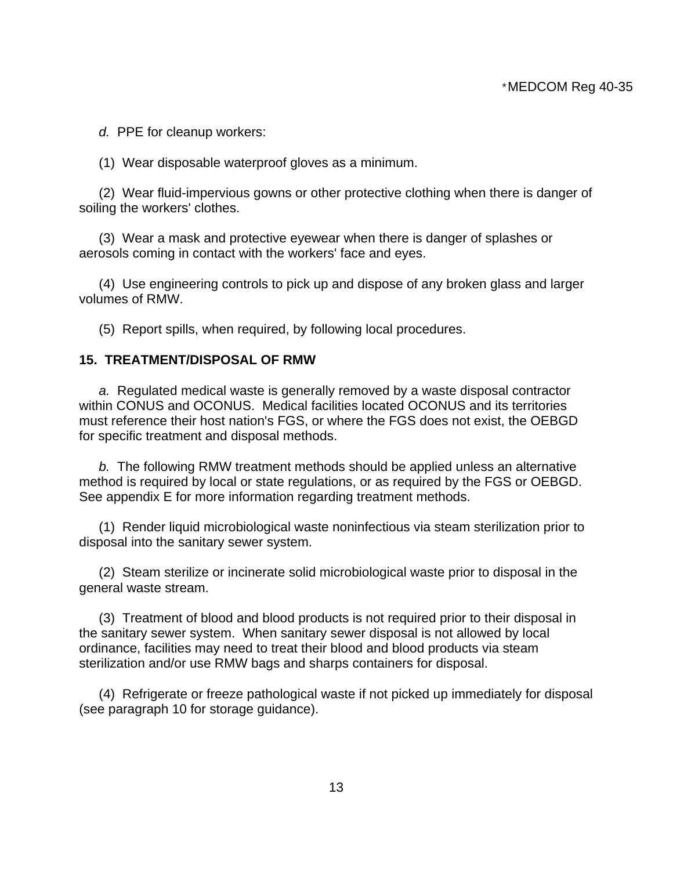*d.* PPE for cleanup workers:

(1) Wear disposable waterproof gloves as a minimum.

 (2) Wear fluid-impervious gowns or other protective clothing when there is danger of soiling the workers' clothes.

 (3) Wear a mask and protective eyewear when there is danger of splashes or aerosols coming in contact with the workers' face and eyes.

 (4) Use engineering controls to pick up and dispose of any broken glass and larger volumes of RMW.

(5) Report spills, when required, by following local procedures.

#### **15. TREATMENT/DISPOSAL OF RMW**

 *a.* Regulated medical waste is generally removed by a waste disposal contractor within CONUS and OCONUS. Medical facilities located OCONUS and its territories must reference their host nation's FGS, or where the FGS does not exist, the OEBGD for specific treatment and disposal methods.

 *b.* The following RMW treatment methods should be applied unless an alternative method is required by local or state regulations, or as required by the FGS or OEBGD. See appendix E for more information regarding treatment methods.

 (1) Render liquid microbiological waste noninfectious via steam sterilization prior to disposal into the sanitary sewer system.

 (2) Steam sterilize or incinerate solid microbiological waste prior to disposal in the general waste stream.

 (3) Treatment of blood and blood products is not required prior to their disposal in the sanitary sewer system. When sanitary sewer disposal is not allowed by local ordinance, facilities may need to treat their blood and blood products via steam sterilization and/or use RMW bags and sharps containers for disposal.

 (4) Refrigerate or freeze pathological waste if not picked up immediately for disposal (see paragraph 10 for storage guidance).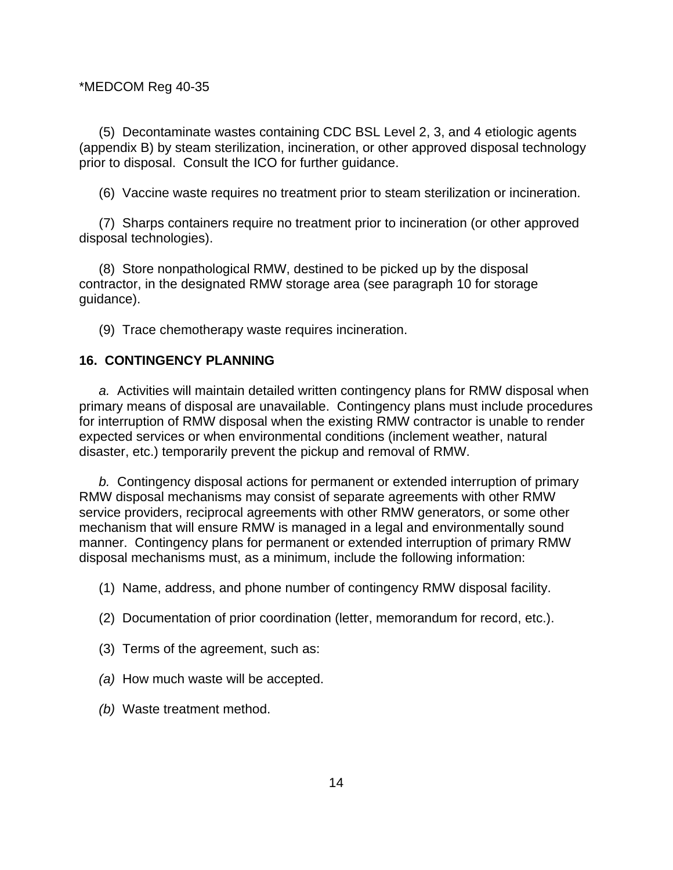(5) Decontaminate wastes containing CDC BSL Level 2, 3, and 4 etiologic agents (appendix B) by steam sterilization, incineration, or other approved disposal technology prior to disposal. Consult the ICO for further guidance.

(6) Vaccine waste requires no treatment prior to steam sterilization or incineration.

 (7) Sharps containers require no treatment prior to incineration (or other approved disposal technologies).

 (8) Store nonpathological RMW, destined to be picked up by the disposal contractor, in the designated RMW storage area (see paragraph 10 for storage guidance).

(9) Trace chemotherapy waste requires incineration.

### **16. CONTINGENCY PLANNING**

*a.* Activities will maintain detailed written contingency plans for RMW disposal when primary means of disposal are unavailable. Contingency plans must include procedures for interruption of RMW disposal when the existing RMW contractor is unable to render expected services or when environmental conditions (inclement weather, natural disaster, etc.) temporarily prevent the pickup and removal of RMW.

*b.* Contingency disposal actions for permanent or extended interruption of primary RMW disposal mechanisms may consist of separate agreements with other RMW service providers, reciprocal agreements with other RMW generators, or some other mechanism that will ensure RMW is managed in a legal and environmentally sound manner. Contingency plans for permanent or extended interruption of primary RMW disposal mechanisms must, as a minimum, include the following information:

(1) Name, address, and phone number of contingency RMW disposal facility.

- (2) Documentation of prior coordination (letter, memorandum for record, etc.).
- (3) Terms of the agreement, such as:
- *(a)* How much waste will be accepted.
- *(b)* Waste treatment method.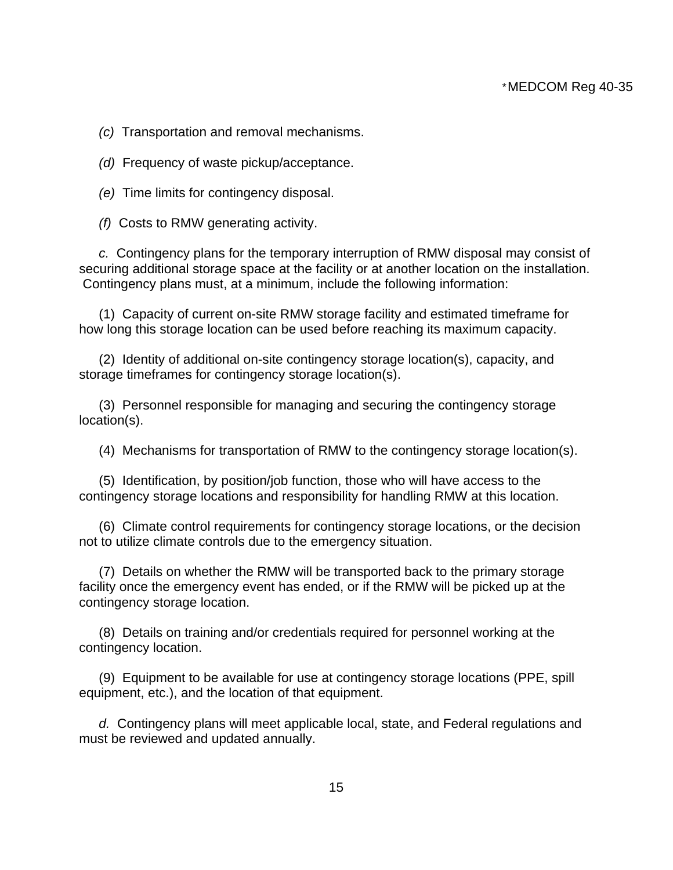*(c)* Transportation and removal mechanisms.

*(d)* Frequency of waste pickup/acceptance.

*(e)* Time limits for contingency disposal.

*(f)* Costs to RMW generating activity.

 *c.* Contingency plans for the temporary interruption of RMW disposal may consist of securing additional storage space at the facility or at another location on the installation. Contingency plans must, at a minimum, include the following information:

 (1) Capacity of current on-site RMW storage facility and estimated timeframe for how long this storage location can be used before reaching its maximum capacity.

 (2) Identity of additional on-site contingency storage location(s), capacity, and storage timeframes for contingency storage location(s).

 (3) Personnel responsible for managing and securing the contingency storage location(s).

(4) Mechanisms for transportation of RMW to the contingency storage location(s).

 (5) Identification, by position/job function, those who will have access to the contingency storage locations and responsibility for handling RMW at this location.

 (6) Climate control requirements for contingency storage locations, or the decision not to utilize climate controls due to the emergency situation.

 (7) Details on whether the RMW will be transported back to the primary storage facility once the emergency event has ended, or if the RMW will be picked up at the contingency storage location.

 (8) Details on training and/or credentials required for personnel working at the contingency location.

 (9) Equipment to be available for use at contingency storage locations (PPE, spill equipment, etc.), and the location of that equipment.

*d.* Contingency plans will meet applicable local, state, and Federal regulations and must be reviewed and updated annually.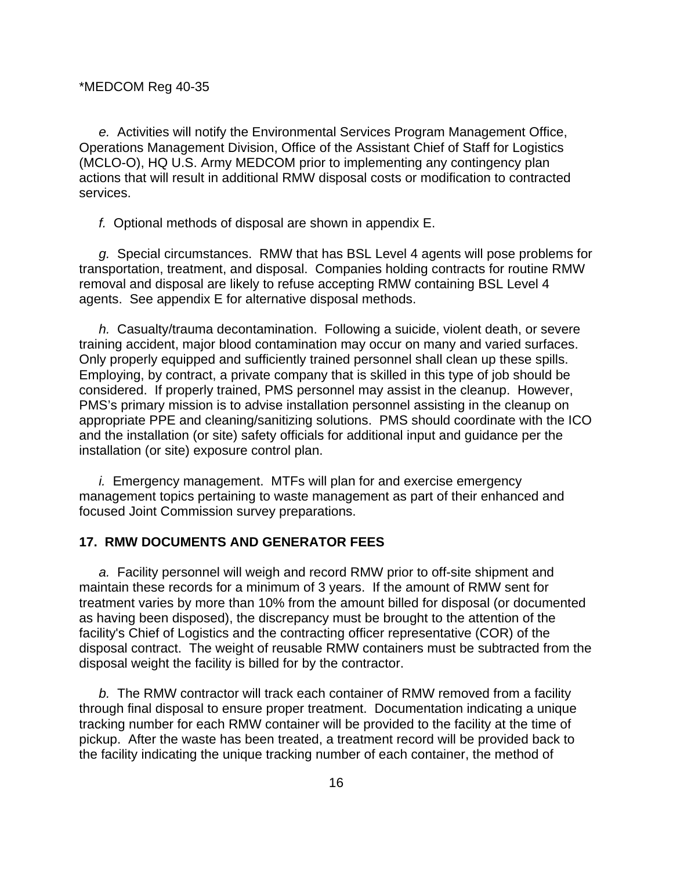*e.* Activities will notify the Environmental Services Program Management Office, Operations Management Division, Office of the Assistant Chief of Staff for Logistics (MCLO-O), HQ U.S. Army MEDCOM prior to implementing any contingency plan actions that will result in additional RMW disposal costs or modification to contracted services.

*f.* Optional methods of disposal are shown in appendix E.

*g.* Special circumstances. RMW that has BSL Level 4 agents will pose problems for transportation, treatment, and disposal. Companies holding contracts for routine RMW removal and disposal are likely to refuse accepting RMW containing BSL Level 4 agents. See appendix E for alternative disposal methods.

*h.* Casualty/trauma decontamination. Following a suicide, violent death, or severe training accident, major blood contamination may occur on many and varied surfaces. Only properly equipped and sufficiently trained personnel shall clean up these spills. Employing, by contract, a private company that is skilled in this type of job should be considered. If properly trained, PMS personnel may assist in the cleanup. However, PMS's primary mission is to advise installation personnel assisting in the cleanup on appropriate PPE and cleaning/sanitizing solutions. PMS should coordinate with the ICO and the installation (or site) safety officials for additional input and guidance per the installation (or site) exposure control plan.

*i.* Emergency management. MTFs will plan for and exercise emergency management topics pertaining to waste management as part of their enhanced and focused Joint Commission survey preparations.

#### **17. RMW DOCUMENTS AND GENERATOR FEES**

*a.* Facility personnel will weigh and record RMW prior to off-site shipment and maintain these records for a minimum of 3 years. If the amount of RMW sent for treatment varies by more than 10% from the amount billed for disposal (or documented as having been disposed), the discrepancy must be brought to the attention of the facility's Chief of Logistics and the contracting officer representative (COR) of the disposal contract. The weight of reusable RMW containers must be subtracted from the disposal weight the facility is billed for by the contractor.

*b.* The RMW contractor will track each container of RMW removed from a facility through final disposal to ensure proper treatment. Documentation indicating a unique tracking number for each RMW container will be provided to the facility at the time of pickup. After the waste has been treated, a treatment record will be provided back to the facility indicating the unique tracking number of each container, the method of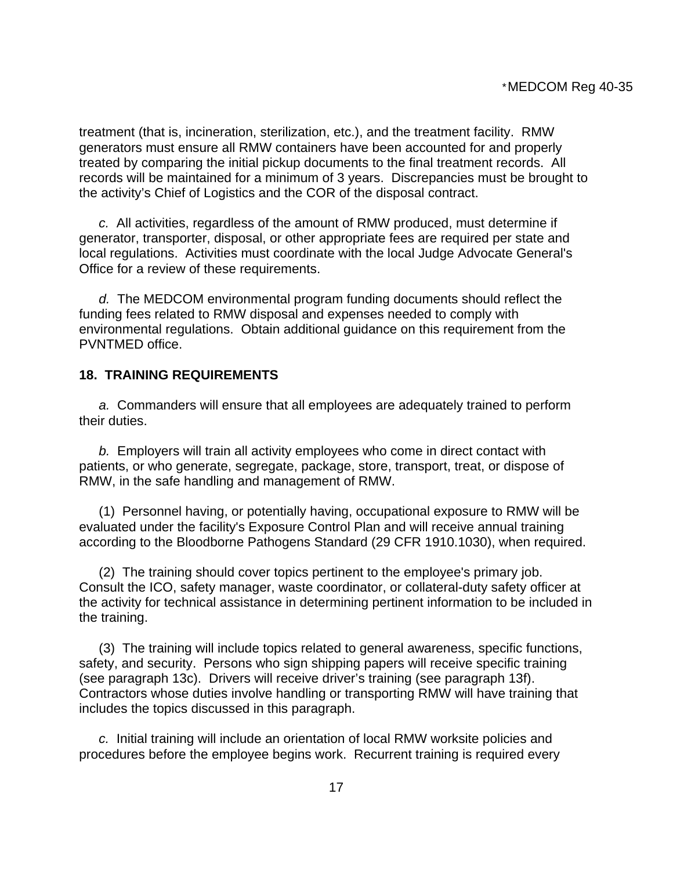treatment (that is, incineration, sterilization, etc.), and the treatment facility. RMW generators must ensure all RMW containers have been accounted for and properly treated by comparing the initial pickup documents to the final treatment records. All records will be maintained for a minimum of 3 years. Discrepancies must be brought to the activity's Chief of Logistics and the COR of the disposal contract.

*c.* All activities, regardless of the amount of RMW produced, must determine if generator, transporter, disposal, or other appropriate fees are required per state and local regulations. Activities must coordinate with the local Judge Advocate General's Office for a review of these requirements.

*d.* The MEDCOM environmental program funding documents should reflect the funding fees related to RMW disposal and expenses needed to comply with environmental regulations. Obtain additional guidance on this requirement from the PVNTMED office.

### **18. TRAINING REQUIREMENTS**

*a.* Commanders will ensure that all employees are adequately trained to perform their duties.

*b.* Employers will train all activity employees who come in direct contact with patients, or who generate, segregate, package, store, transport, treat, or dispose of RMW, in the safe handling and management of RMW.

 (1) Personnel having, or potentially having, occupational exposure to RMW will be evaluated under the facility's Exposure Control Plan and will receive annual training according to the Bloodborne Pathogens Standard (29 CFR 1910.1030), when required.

 (2) The training should cover topics pertinent to the employee's primary job. Consult the ICO, safety manager, waste coordinator, or collateral-duty safety officer at the activity for technical assistance in determining pertinent information to be included in the training.

 (3) The training will include topics related to general awareness, specific functions, safety, and security. Persons who sign shipping papers will receive specific training (see paragraph 13c). Drivers will receive driver's training (see paragraph 13f). Contractors whose duties involve handling or transporting RMW will have training that includes the topics discussed in this paragraph.

*c.* Initial training will include an orientation of local RMW worksite policies and procedures before the employee begins work. Recurrent training is required every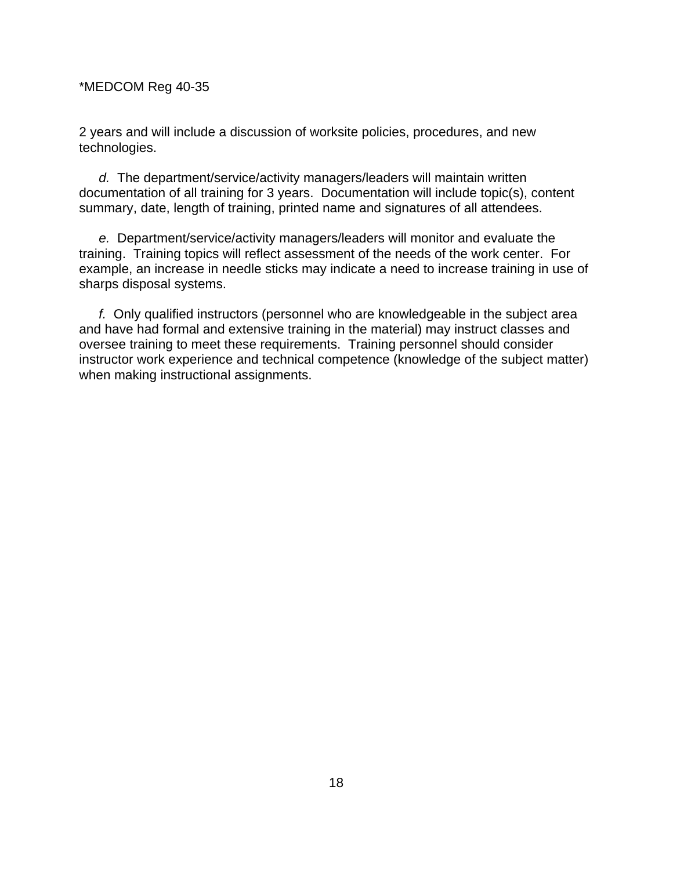2 years and will include a discussion of worksite policies, procedures, and new technologies.

*d.* The department/service/activity managers/leaders will maintain written documentation of all training for 3 years. Documentation will include topic(s), content summary, date, length of training, printed name and signatures of all attendees.

*e.* Department/service/activity managers/leaders will monitor and evaluate the training. Training topics will reflect assessment of the needs of the work center. For example, an increase in needle sticks may indicate a need to increase training in use of sharps disposal systems.

*f.* Only qualified instructors (personnel who are knowledgeable in the subject area and have had formal and extensive training in the material) may instruct classes and oversee training to meet these requirements. Training personnel should consider instructor work experience and technical competence (knowledge of the subject matter) when making instructional assignments.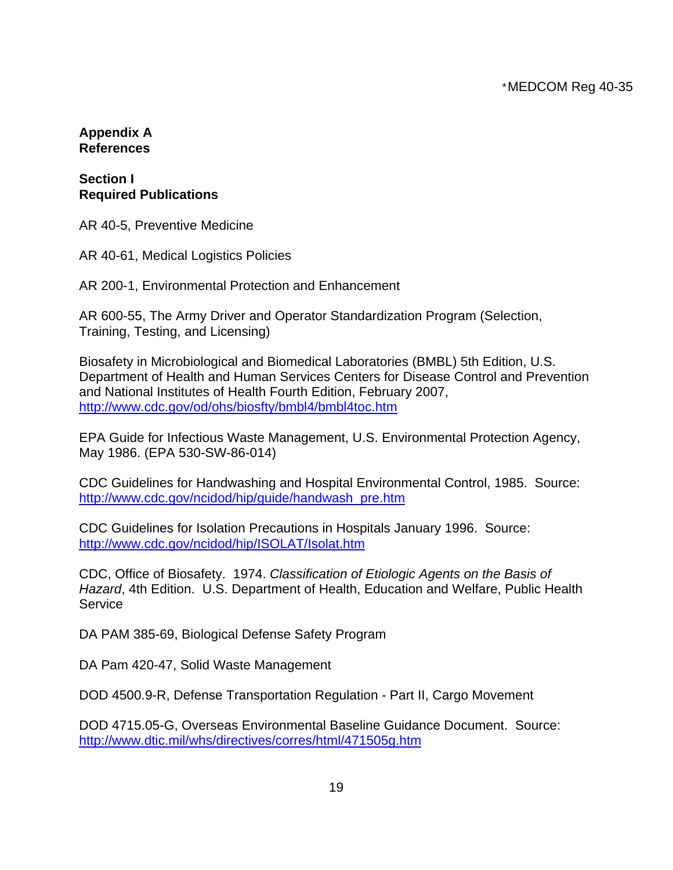### **Appendix A References**

### **Section I Required Publications**

AR 40-5, Preventive Medicine

AR 40-61, Medical Logistics Policies

AR 200-1, Environmental Protection and Enhancement

AR 600-55, The Army Driver and Operator Standardization Program (Selection, Training, Testing, and Licensing)

Biosafety in Microbiological and Biomedical Laboratories (BMBL) 5th Edition, U.S. Department of Health and Human Services Centers for Disease Control and Prevention and National Institutes of Health Fourth Edition, February 2007, <http://www.cdc.gov/od/ohs/biosfty/bmbl4/bmbl4toc.htm>

EPA Guide for Infectious Waste Management, U.S. Environmental Protection Agency, May 1986. (EPA 530-SW-86-014)

CDC Guidelines for Handwashing and Hospital Environmental Control, 1985. Source: [http://www.cdc.gov/ncidod/hip/guide/handwash\\_pre.htm](http://www.cdc.gov/ncidod/hip/guide/handwash_pre.htm)

CDC Guidelines for Isolation Precautions in Hospitals January 1996. Source: <http://www.cdc.gov/ncidod/hip/ISOLAT/Isolat.htm>

CDC, Office of Biosafety. 1974. *Classification of Etiologic Agents on the Basis of Hazard*, 4th Edition. U.S. Department of Health, Education and Welfare, Public Health **Service** 

DA PAM 385-69, Biological Defense Safety Program

DA Pam 420-47, Solid Waste Management

DOD 4500.9-R, Defense Transportation Regulation - Part II, Cargo Movement

DOD 4715.05-G, Overseas Environmental Baseline Guidance Document. Source: <http://www.dtic.mil/whs/directives/corres/html/471505g.htm>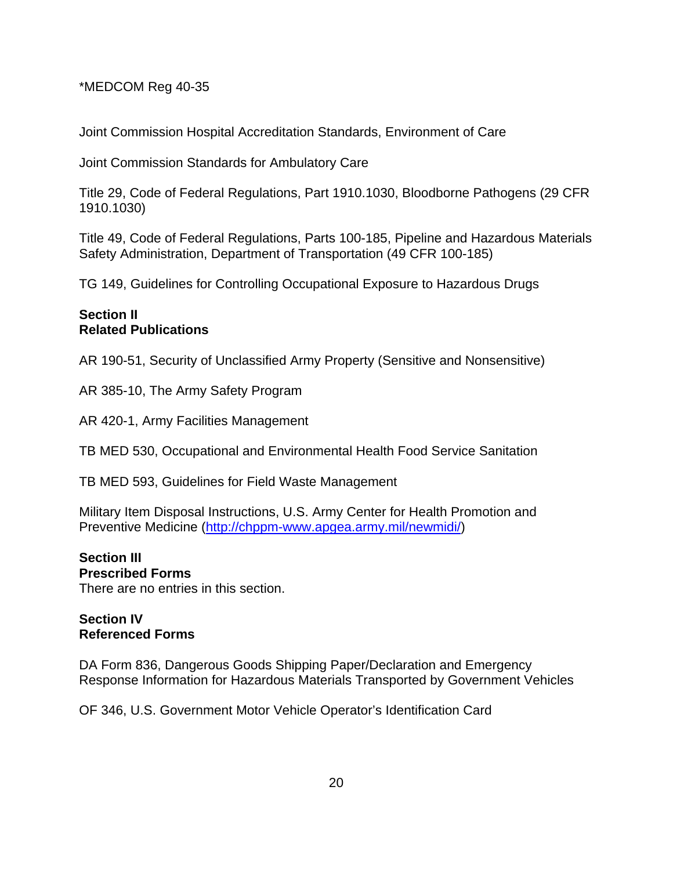Joint Commission Hospital Accreditation Standards, Environment of Care

Joint Commission Standards for Ambulatory Care

Title 29, Code of Federal Regulations, Part 1910.1030, Bloodborne Pathogens (29 CFR 1910.1030)

Title 49, Code of Federal Regulations, Parts 100-185, Pipeline and Hazardous Materials Safety Administration, Department of Transportation (49 CFR 100-185)

TG 149, Guidelines for Controlling Occupational Exposure to Hazardous Drugs

### **Section II Related Publications**

AR 190-51, Security of Unclassified Army Property (Sensitive and Nonsensitive)

AR 385-10, The Army Safety Program

AR 420-1, Army Facilities Management

TB MED 530, Occupational and Environmental Health Food Service Sanitation

TB MED 593, Guidelines for Field Waste Management

Military Item Disposal Instructions, U.S. Army Center for Health Promotion and Preventive Medicine [\(http://chppm-www.apgea.army.mil/newmidi/\)](http://chppm-www.apgea.army.mil/newmidi/)

#### **Section III Prescribed Forms**

There are no entries in this section.

### **Section IV Referenced Forms**

DA Form 836, Dangerous Goods Shipping Paper/Declaration and Emergency Response Information for Hazardous Materials Transported by Government Vehicles

OF 346, U.S. Government Motor Vehicle Operator's Identification Card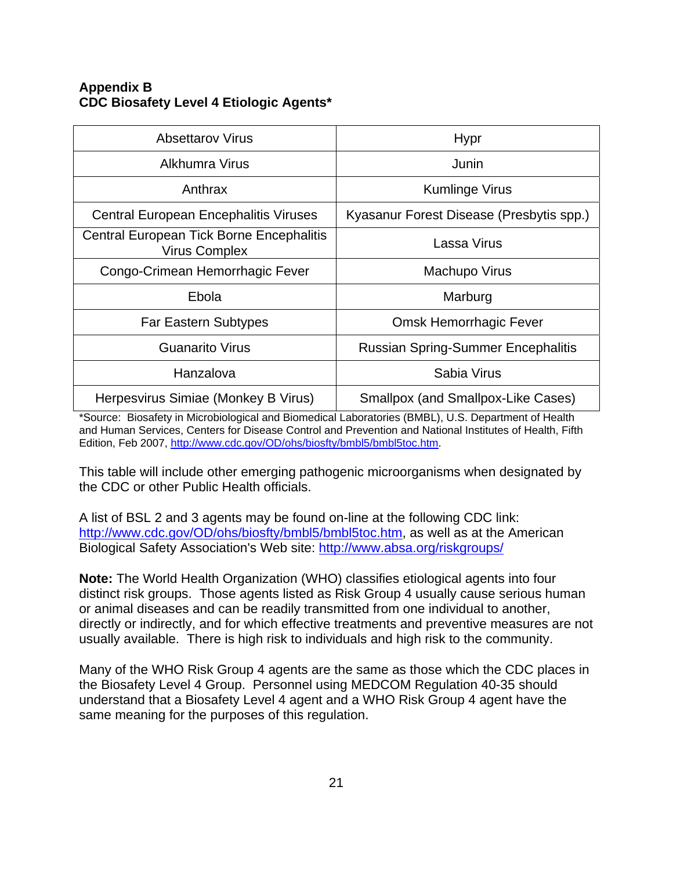### **Appendix B CDC Biosafety Level 4 Etiologic Agents\***

| <b>Absettarov Virus</b>                                          | <b>Hypr</b>                               |
|------------------------------------------------------------------|-------------------------------------------|
| Alkhumra Virus                                                   | Junin                                     |
| Anthrax                                                          | Kumlinge Virus                            |
| <b>Central European Encephalitis Viruses</b>                     | Kyasanur Forest Disease (Presbytis spp.)  |
| Central European Tick Borne Encephalitis<br><b>Virus Complex</b> | Lassa Virus                               |
| Congo-Crimean Hemorrhagic Fever                                  | Machupo Virus                             |
| Ebola                                                            | Marburg                                   |
| <b>Far Eastern Subtypes</b>                                      | <b>Omsk Hemorrhagic Fever</b>             |
| <b>Guanarito Virus</b>                                           | <b>Russian Spring-Summer Encephalitis</b> |
| Hanzalova                                                        | Sabia Virus                               |
| Herpesvirus Simiae (Monkey B Virus)                              | Smallpox (and Smallpox-Like Cases)        |

\*Source: Biosafety in Microbiological and Biomedical Laboratories (BMBL), U.S. Department of Health and Human Services, Centers for Disease Control and Prevention and National Institutes of Health, Fifth Edition, Feb 2007, [http://www.cdc.gov/OD/ohs/biosfty/bmbl5/bmbl5toc.htm.](http://www.cdc.gov/OD/ohs/biosfty/bmbl5/bmbl5toc.htm) 

This table will include other emerging pathogenic microorganisms when designated by the CDC or other Public Health officials.

A list of BSL 2 and 3 agents may be found on-line at the following CDC link: [http://www.cdc.gov/OD/ohs/biosfty/bmbl5/bmbl5toc.htm,](http://www.cdc.gov/OD/ohs/biosfty/bmbl5/bmbl5toc.htm) as well as at the American Biological Safety Association's Web site:<http://www.absa.org/riskgroups/>

**Note:** The World Health Organization (WHO) classifies etiological agents into four distinct risk groups. Those agents listed as Risk Group 4 usually cause serious human or animal diseases and can be readily transmitted from one individual to another, directly or indirectly, and for which effective treatments and preventive measures are not usually available. There is high risk to individuals and high risk to the community.

Many of the WHO Risk Group 4 agents are the same as those which the CDC places in the Biosafety Level 4 Group. Personnel using MEDCOM Regulation 40-35 should understand that a Biosafety Level 4 agent and a WHO Risk Group 4 agent have the same meaning for the purposes of this regulation.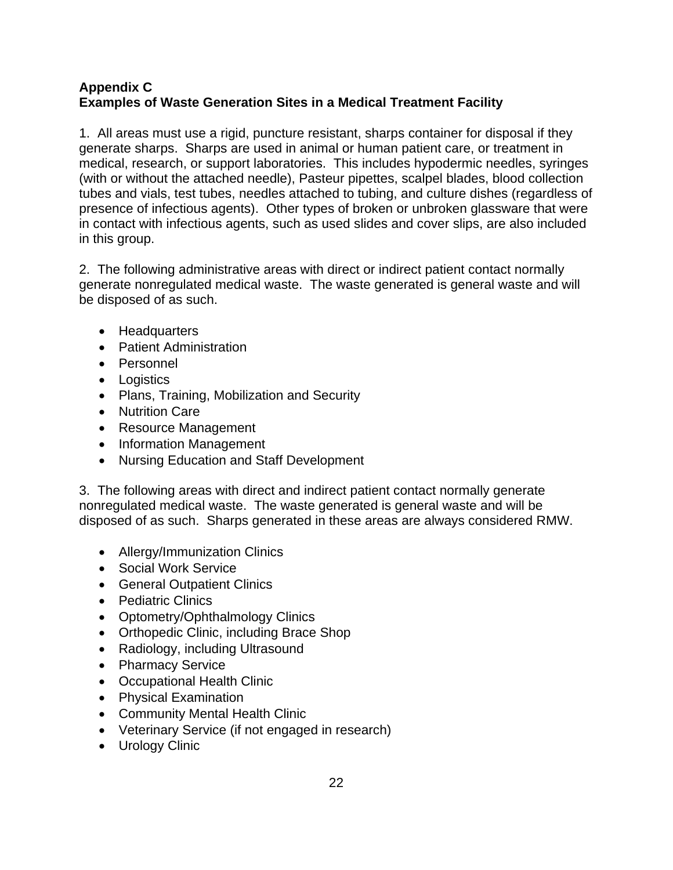### **Appendix C Examples of Waste Generation Sites in a Medical Treatment Facility**

1. All areas must use a rigid, puncture resistant, sharps container for disposal if they generate sharps. Sharps are used in animal or human patient care, or treatment in medical, research, or support laboratories. This includes hypodermic needles, syringes (with or without the attached needle), Pasteur pipettes, scalpel blades, blood collection tubes and vials, test tubes, needles attached to tubing, and culture dishes (regardless of presence of infectious agents). Other types of broken or unbroken glassware that were in contact with infectious agents, such as used slides and cover slips, are also included in this group.

2. The following administrative areas with direct or indirect patient contact normally generate nonregulated medical waste. The waste generated is general waste and will be disposed of as such.

- Headquarters
- Patient Administration
- Personnel
- Logistics
- Plans, Training, Mobilization and Security
- Nutrition Care
- Resource Management
- Information Management
- Nursing Education and Staff Development

3. The following areas with direct and indirect patient contact normally generate nonregulated medical waste. The waste generated is general waste and will be disposed of as such. Sharps generated in these areas are always considered RMW.

- Allergy/Immunization Clinics
- Social Work Service
- General Outpatient Clinics
- Pediatric Clinics
- Optometry/Ophthalmology Clinics
- Orthopedic Clinic, including Brace Shop
- Radiology, including Ultrasound
- Pharmacy Service
- Occupational Health Clinic
- Physical Examination
- Community Mental Health Clinic
- Veterinary Service (if not engaged in research)
- Urology Clinic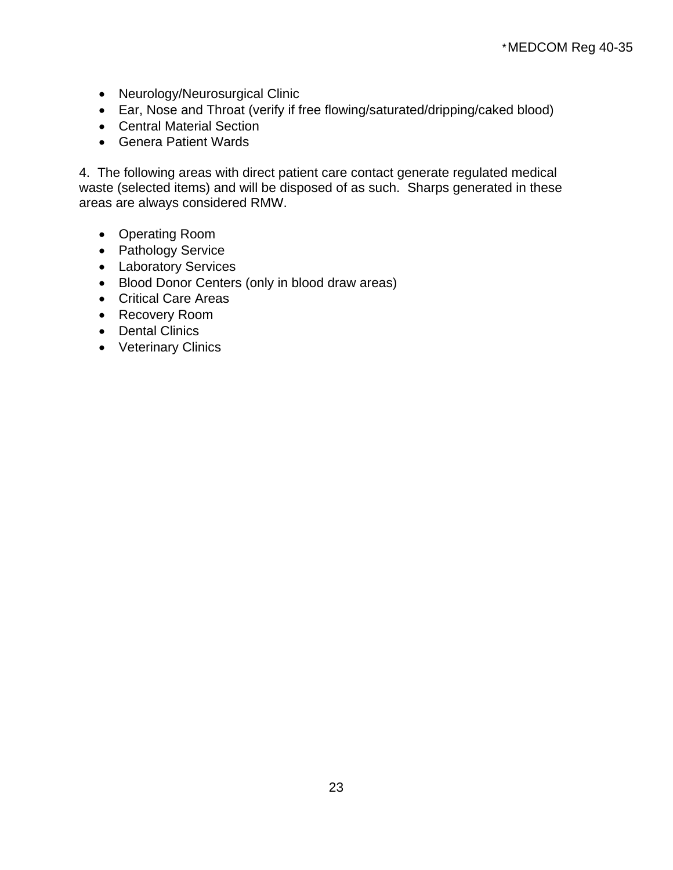- Neurology/Neurosurgical Clinic
- Ear, Nose and Throat (verify if free flowing/saturated/dripping/caked blood)
- Central Material Section
- Genera Patient Wards

4. The following areas with direct patient care contact generate regulated medical waste (selected items) and will be disposed of as such. Sharps generated in these areas are always considered RMW.

- Operating Room
- Pathology Service
- Laboratory Services
- Blood Donor Centers (only in blood draw areas)
- Critical Care Areas
- Recovery Room
- Dental Clinics
- Veterinary Clinics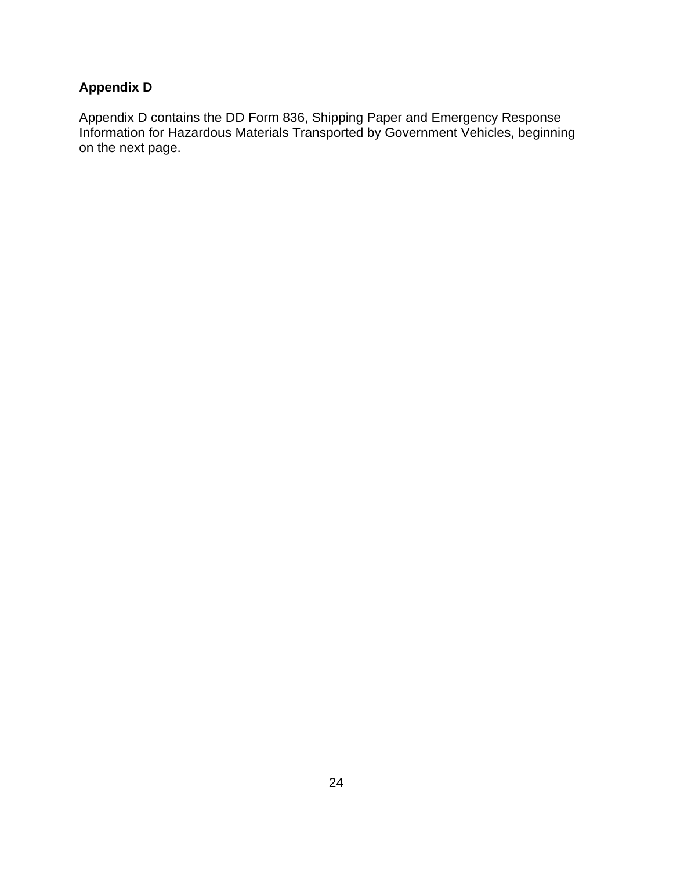# **Appendix D**

Appendix D contains the DD Form 836, Shipping Paper and Emergency Response Information for Hazardous Materials Transported by Government Vehicles, beginning on the next page.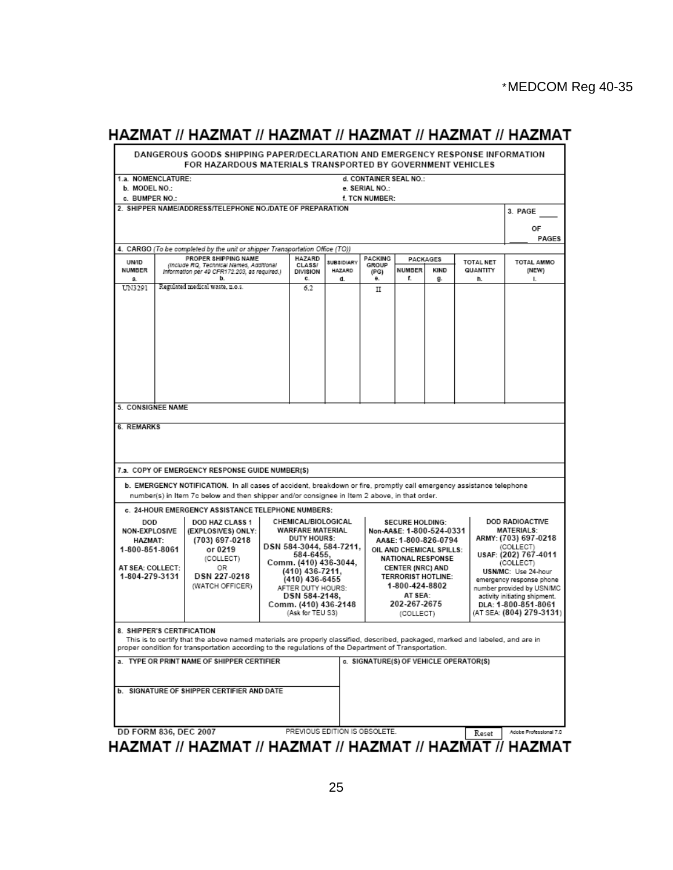# HAZMAT // HAZMAT // HAZMAT // HAZMAT // HAZMAT // HAZMAT

|                                                                                                              | FOR HAZARDOUS MATERIALS TRANSPORTED BY GOVERNMENT VEHICLES                                                                                                                                                                                                                                                          |                                                                                                                                                                                                                                                                                                             |                                    |                                                                                                                                                                                                                                                      |        |                  |                                        | DANGEROUS GOODS SHIPPING PAPER/DECLARATION AND EMERGENCY RESPONSE INFORMATION                                                                                                                                                                                                      |  |
|--------------------------------------------------------------------------------------------------------------|---------------------------------------------------------------------------------------------------------------------------------------------------------------------------------------------------------------------------------------------------------------------------------------------------------------------|-------------------------------------------------------------------------------------------------------------------------------------------------------------------------------------------------------------------------------------------------------------------------------------------------------------|------------------------------------|------------------------------------------------------------------------------------------------------------------------------------------------------------------------------------------------------------------------------------------------------|--------|------------------|----------------------------------------|------------------------------------------------------------------------------------------------------------------------------------------------------------------------------------------------------------------------------------------------------------------------------------|--|
| 1.a. NOMENCLATURE:                                                                                           |                                                                                                                                                                                                                                                                                                                     |                                                                                                                                                                                                                                                                                                             |                                    | d. CONTAINER SEAL NO.:                                                                                                                                                                                                                               |        |                  |                                        |                                                                                                                                                                                                                                                                                    |  |
| b. MODEL NO.:                                                                                                |                                                                                                                                                                                                                                                                                                                     |                                                                                                                                                                                                                                                                                                             |                                    | e. SERIAL NO.:                                                                                                                                                                                                                                       |        |                  |                                        |                                                                                                                                                                                                                                                                                    |  |
| c. BUMPER NO.:                                                                                               |                                                                                                                                                                                                                                                                                                                     |                                                                                                                                                                                                                                                                                                             |                                    | f. TCN NUMBER:                                                                                                                                                                                                                                       |        |                  |                                        |                                                                                                                                                                                                                                                                                    |  |
|                                                                                                              | 2. SHIPPER NAME/ADDRESS/TELEPHONE NO./DATE OF PREPARATION                                                                                                                                                                                                                                                           |                                                                                                                                                                                                                                                                                                             |                                    |                                                                                                                                                                                                                                                      |        |                  |                                        | 3. PAGE                                                                                                                                                                                                                                                                            |  |
|                                                                                                              |                                                                                                                                                                                                                                                                                                                     |                                                                                                                                                                                                                                                                                                             |                                    |                                                                                                                                                                                                                                                      |        |                  |                                        | OF<br>PAGES                                                                                                                                                                                                                                                                        |  |
|                                                                                                              | 4. CARGO (To be completed by the unit or shipper Transportation Office (TO))                                                                                                                                                                                                                                        |                                                                                                                                                                                                                                                                                                             |                                    |                                                                                                                                                                                                                                                      |        |                  |                                        |                                                                                                                                                                                                                                                                                    |  |
| <b>UN/ID</b><br>NUMBER                                                                                       | PROPER SHIPPING NAME<br>(Include RQ, Technical Names, Additional<br>Information per 49 CFR172.203, as required.)                                                                                                                                                                                                    | HAZARD<br>CLASS/<br><b>DIVISION</b>                                                                                                                                                                                                                                                                         | <b>SUBSIDIARY</b><br><b>HAZARD</b> | PACKING<br>GROUP<br>(PG)                                                                                                                                                                                                                             | NUMBER | PACKAGES<br>KIND | <b>TOTAL NET</b><br>QUANTITY           | <b>TOTAL AMMO</b><br>(NEW)                                                                                                                                                                                                                                                         |  |
| a.                                                                                                           | b.                                                                                                                                                                                                                                                                                                                  | c.                                                                                                                                                                                                                                                                                                          | d.                                 | θ.                                                                                                                                                                                                                                                   | f.     | g.               | h.                                     | L.                                                                                                                                                                                                                                                                                 |  |
| UN3291                                                                                                       | Regulated medical waste, n.o.s.                                                                                                                                                                                                                                                                                     | 6.2                                                                                                                                                                                                                                                                                                         |                                    | п                                                                                                                                                                                                                                                    |        |                  |                                        |                                                                                                                                                                                                                                                                                    |  |
|                                                                                                              | 7.a. COPY OF EMERGENCY RESPONSE GUIDE NUMBER(S)<br>b. EMERGENCY NOTIFICATION. In all cases of accident, breakdown or fire, promptly call emergency assistance telephone<br>number(s) in Item 7c below and then shipper and/or consignee in Item 2 above, in that order.                                             |                                                                                                                                                                                                                                                                                                             |                                    |                                                                                                                                                                                                                                                      |        |                  |                                        |                                                                                                                                                                                                                                                                                    |  |
|                                                                                                              |                                                                                                                                                                                                                                                                                                                     |                                                                                                                                                                                                                                                                                                             |                                    |                                                                                                                                                                                                                                                      |        |                  |                                        |                                                                                                                                                                                                                                                                                    |  |
| <b>DOD</b><br><b>NON-EXPLOSIVE</b><br><b>HAZMAT:</b><br>1-800-851-8061<br>AT SEA: COLLECT:<br>1-804-279-3131 | DOD HAZ CLASS 1<br>(EXPLOSIVES) ONLY:<br>(703) 697-0218<br>or 0219<br>(COLLECT)<br>0R<br>DSN 227-0218<br>(WATCH OFFICER)                                                                                                                                                                                            | c. 24-HOUR EMERGENCY ASSISTANCE TELEPHONE NUMBERS:<br>CHEMICAL/BIOLOGICAL<br>WARFARE MATERIAL<br><b>DUTY HOURS:</b><br>DSN 584-3044, 584-7211,<br>584-6455,<br>Comm. (410) 436-3044,<br>(410) 436-7211.<br>(410) 436-6455<br>AFTER DUTY HOURS:<br>DSN 584-2148.<br>Comm. (410) 436-2148<br>(Ask for TEU S3) |                                    | <b>SECURE HOLDING:</b><br>Non-AA&E: 1-800-524-0331<br>AA&E: 1-800-826-0794<br>OIL AND CHEMICAL SPILLS:<br><b>NATIONAL RESPONSE</b><br><b>CENTER (NRC) AND</b><br><b>TERRORIST HOTLINE:</b><br>1-800-424-8802<br>AT SEA:<br>202-267-2675<br>(COLLECT) |        |                  |                                        | DOD RADIOACTIVE<br><b>MATERIALS:</b><br>ARMY: (703) 697-0218<br>(COLLECT)<br>USAF: (202) 767-4011<br>(COLLECT)<br>USN/MC: Use 24-hour<br>emergency response phone<br>number provided by USN/MC<br>activity initiating shipment.<br>DLA: 1-800-851-8061<br>(AT SEA: (804) 279-3131) |  |
|                                                                                                              | 8. SHIPPER'S CERTIFICATION<br>This is to certify that the above named materials are properly classified, described, packaged, marked and labeled, and are in<br>proper condition for transportation according to the regulations of the Department of Transportation.<br>a. TYPE OR PRINT NAME OF SHIPPER CERTIFIER |                                                                                                                                                                                                                                                                                                             |                                    |                                                                                                                                                                                                                                                      |        |                  | c. SIGNATURE(S) OF VEHICLE OPERATOR(S) |                                                                                                                                                                                                                                                                                    |  |
|                                                                                                              | <b>b. SIGNATURE OF SHIPPER CERTIFIER AND DATE</b>                                                                                                                                                                                                                                                                   |                                                                                                                                                                                                                                                                                                             |                                    |                                                                                                                                                                                                                                                      |        |                  |                                        |                                                                                                                                                                                                                                                                                    |  |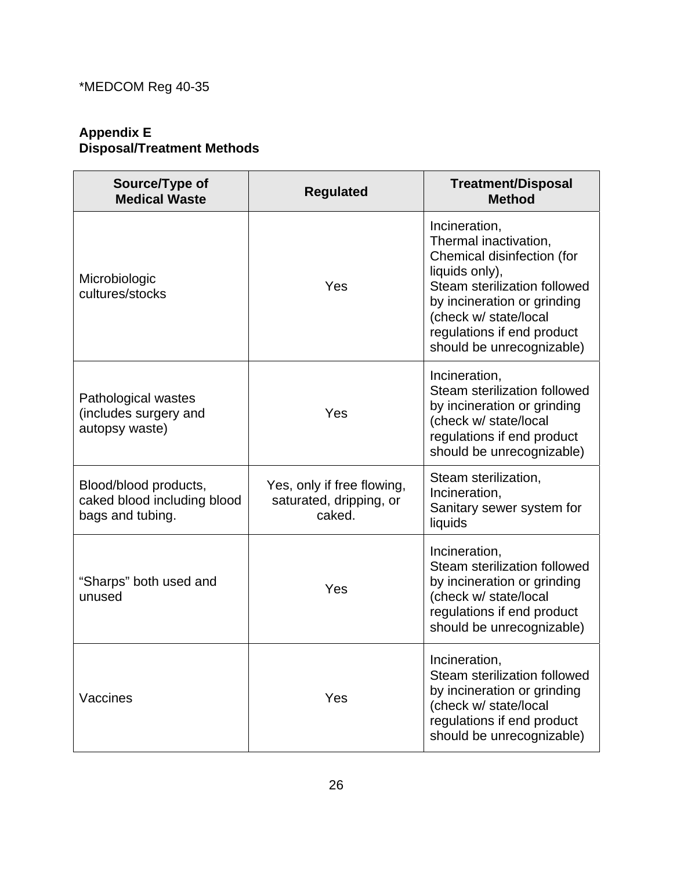### **Appendix E Disposal/Treatment Methods**

| Source/Type of<br><b>Medical Waste</b>                                   | <b>Regulated</b>                                                | <b>Treatment/Disposal</b><br><b>Method</b>                                                                                                                                                                                                |
|--------------------------------------------------------------------------|-----------------------------------------------------------------|-------------------------------------------------------------------------------------------------------------------------------------------------------------------------------------------------------------------------------------------|
| Microbiologic<br>cultures/stocks                                         | Yes                                                             | Incineration,<br>Thermal inactivation,<br>Chemical disinfection (for<br>liquids only),<br>Steam sterilization followed<br>by incineration or grinding<br>(check w/ state/local<br>regulations if end product<br>should be unrecognizable) |
| Pathological wastes<br>(includes surgery and<br>autopsy waste)           | Yes                                                             | Incineration,<br>Steam sterilization followed<br>by incineration or grinding<br>(check w/ state/local<br>regulations if end product<br>should be unrecognizable)                                                                          |
| Blood/blood products,<br>caked blood including blood<br>bags and tubing. | Yes, only if free flowing,<br>saturated, dripping, or<br>caked. | Steam sterilization,<br>Incineration,<br>Sanitary sewer system for<br>liquids                                                                                                                                                             |
| "Sharps" both used and<br>unused                                         | Yes                                                             | Incineration,<br>Steam sterilization followed<br>by incineration or grinding<br>(check w/ state/local<br>regulations if end product<br>should be unrecognizable)                                                                          |
| Vaccines                                                                 | Yes                                                             | Incineration,<br>Steam sterilization followed<br>by incineration or grinding<br>(check w/ state/local<br>regulations if end product<br>should be unrecognizable)                                                                          |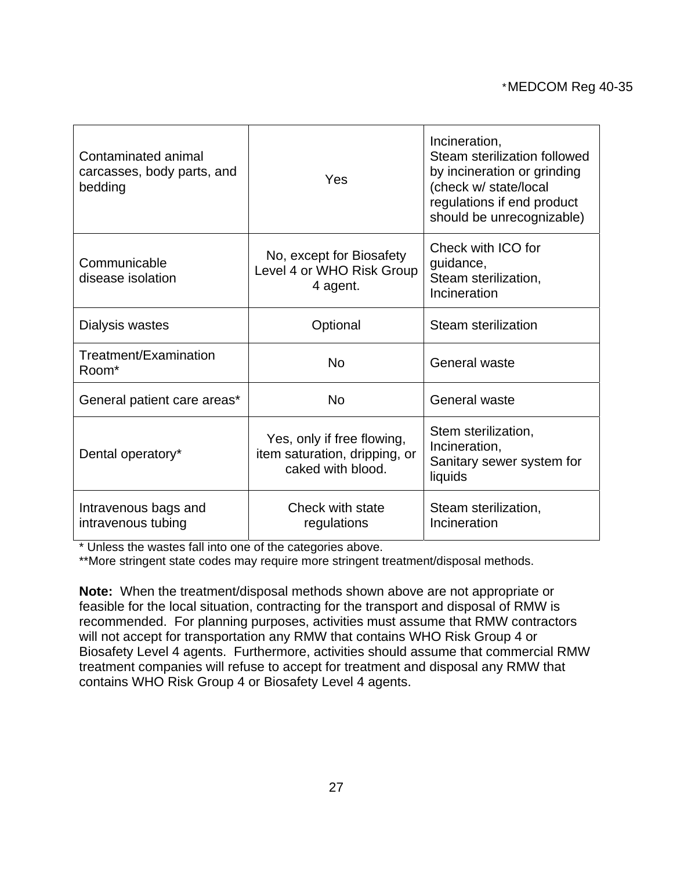| Contaminated animal<br>carcasses, body parts, and<br>bedding | <b>Yes</b>                                                                       | Incineration,<br>Steam sterilization followed<br>by incineration or grinding<br>(check w/ state/local<br>regulations if end product<br>should be unrecognizable) |
|--------------------------------------------------------------|----------------------------------------------------------------------------------|------------------------------------------------------------------------------------------------------------------------------------------------------------------|
| Communicable<br>disease isolation                            | No, except for Biosafety<br>Level 4 or WHO Risk Group<br>4 agent.                | Check with ICO for<br>guidance,<br>Steam sterilization,<br>Incineration                                                                                          |
| Dialysis wastes                                              | Optional                                                                         | Steam sterilization                                                                                                                                              |
| Treatment/Examination<br>Room*                               | <b>No</b>                                                                        | General waste                                                                                                                                                    |
| General patient care areas*                                  | <b>No</b>                                                                        | General waste                                                                                                                                                    |
| Dental operatory*                                            | Yes, only if free flowing,<br>item saturation, dripping, or<br>caked with blood. | Stem sterilization,<br>Incineration,<br>Sanitary sewer system for<br>liquids                                                                                     |
| Intravenous bags and<br>intravenous tubing                   | Check with state<br>regulations                                                  | Steam sterilization,<br>Incineration                                                                                                                             |

\* Unless the wastes fall into one of the categories above.

\*\*More stringent state codes may require more stringent treatment/disposal methods.

**Note:** When the treatment/disposal methods shown above are not appropriate or feasible for the local situation, contracting for the transport and disposal of RMW is recommended. For planning purposes, activities must assume that RMW contractors will not accept for transportation any RMW that contains WHO Risk Group 4 or Biosafety Level 4 agents. Furthermore, activities should assume that commercial RMW treatment companies will refuse to accept for treatment and disposal any RMW that contains WHO Risk Group 4 or Biosafety Level 4 agents.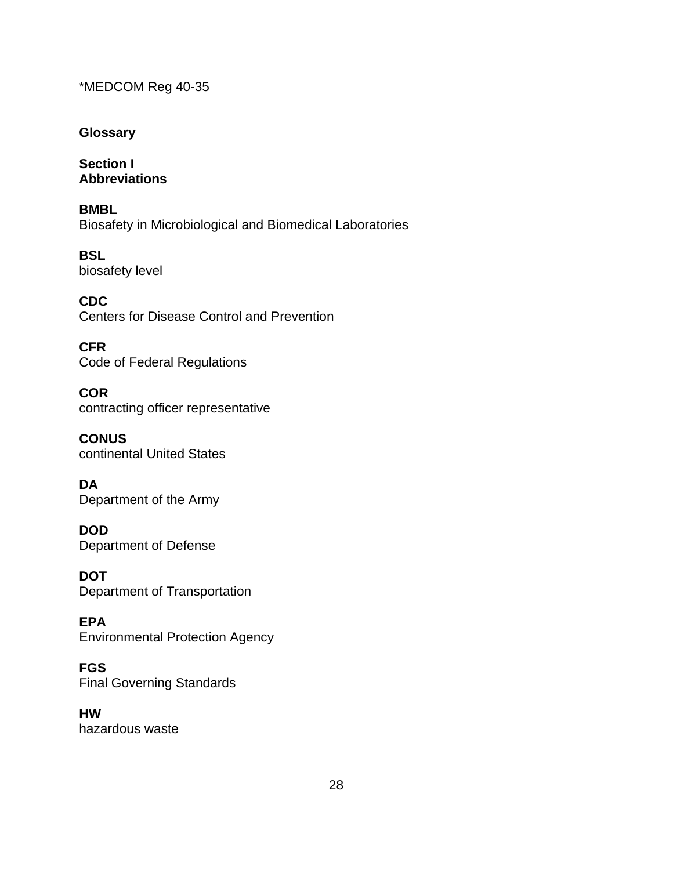### **Glossary**

**Section I Abbreviations** 

**BMBL**  Biosafety in Microbiological and Biomedical Laboratories

**BSL**  biosafety level

**CDC**  Centers for Disease Control and Prevention

**CFR**  Code of Federal Regulations

**COR**  contracting officer representative

**CONUS**  continental United States

**DA**  Department of the Army

**DOD**  Department of Defense

**DOT**  Department of Transportation

**EPA**  Environmental Protection Agency

**FGS**  Final Governing Standards

**HW**  hazardous waste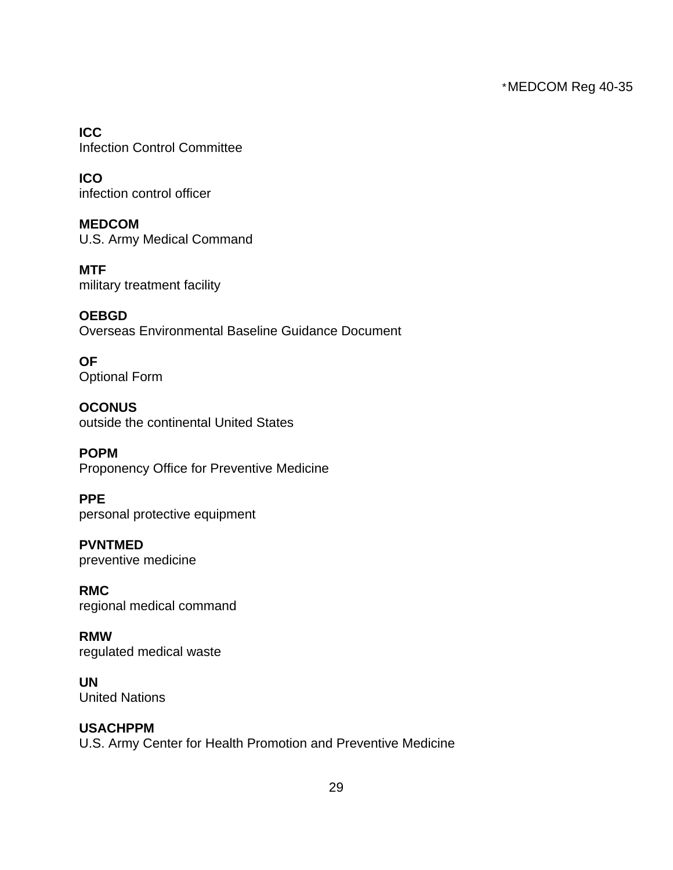**ICC**  Infection Control Committee

**ICO**  infection control officer

**MEDCOM**  U.S. Army Medical Command

**MTF**  military treatment facility

**OEBGD**  Overseas Environmental Baseline Guidance Document

**OF**  Optional Form

**OCONUS**  outside the continental United States

**POPM**  Proponency Office for Preventive Medicine

**PPE**  personal protective equipment

**PVNTMED**  preventive medicine

**RMC**  regional medical command

**RMW**  regulated medical waste

**UN**  United Nations

## **USACHPPM**

U.S. Army Center for Health Promotion and Preventive Medicine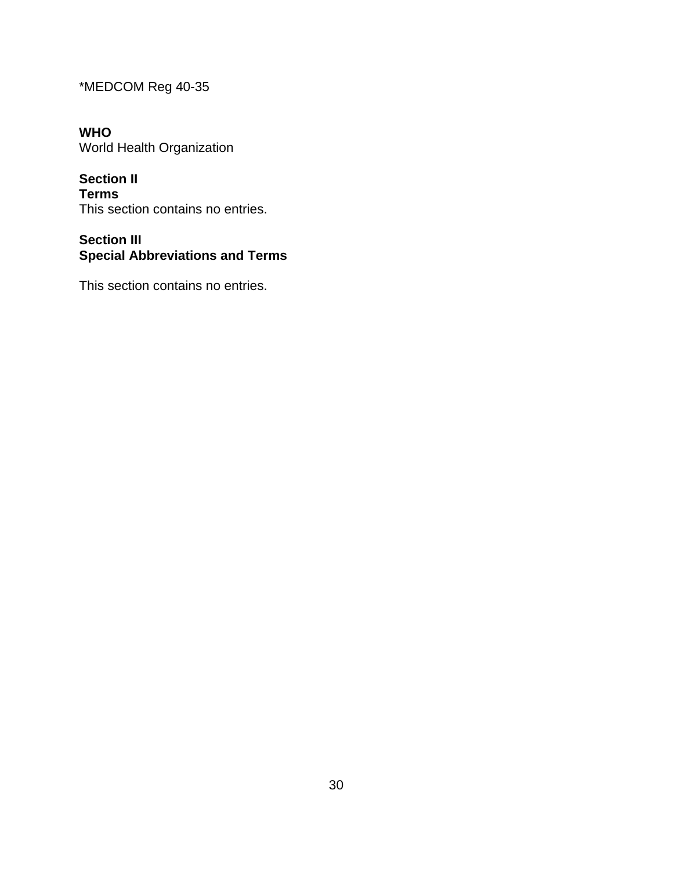**WHO**  World Health Organization

**Section II Terms**  This section contains no entries.

# **Section III Special Abbreviations and Terms**

This section contains no entries.